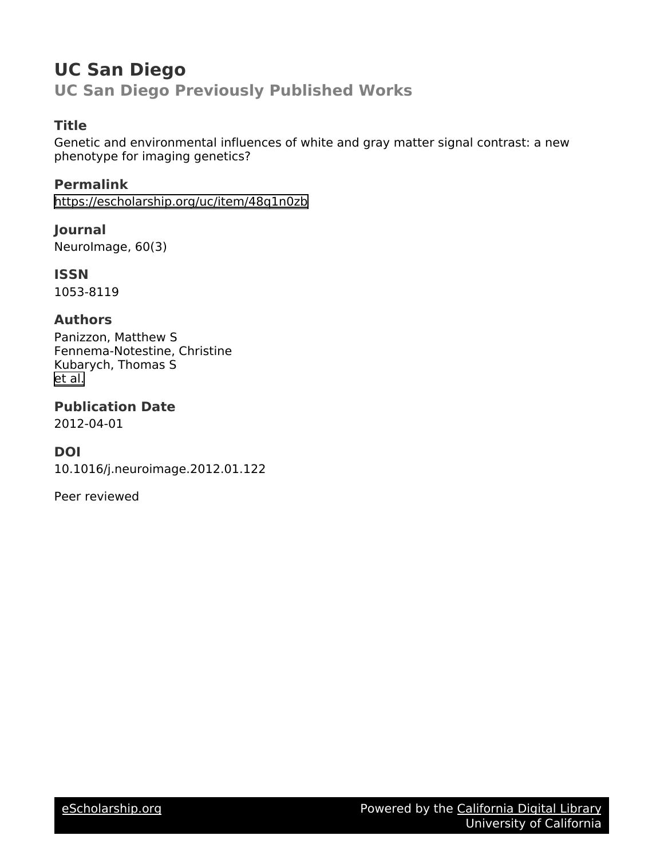# **UC San Diego UC San Diego Previously Published Works**

### **Title**

Genetic and environmental influences of white and gray matter signal contrast: a new phenotype for imaging genetics?

**Permalink** <https://escholarship.org/uc/item/48q1n0zb>

**Journal** NeuroImage, 60(3)

**ISSN** 1053-8119

### **Authors**

Panizzon, Matthew S Fennema-Notestine, Christine Kubarych, Thomas S [et al.](https://escholarship.org/uc/item/48q1n0zb#author)

**Publication Date**

2012-04-01

## **DOI**

10.1016/j.neuroimage.2012.01.122

Peer reviewed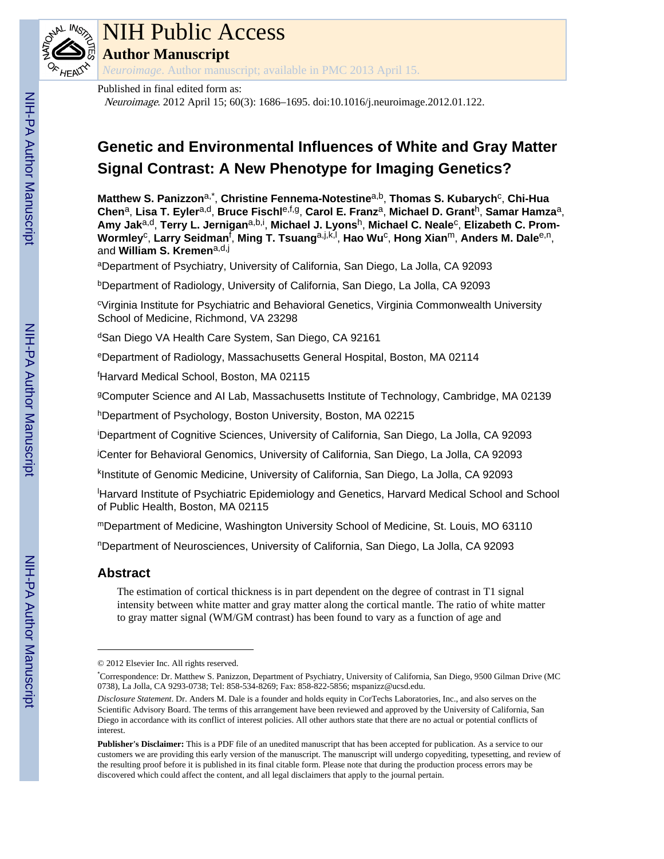

# NIH Public Access

**Author Manuscript**

*Neuroimage*. Author manuscript; available in PMC 2013 April 15.

#### Published in final edited form as:

Neuroimage. 2012 April 15; 60(3): 1686–1695. doi:10.1016/j.neuroimage.2012.01.122.

# **Genetic and Environmental Influences of White and Gray Matter Signal Contrast: A New Phenotype for Imaging Genetics?**

**Matthew S. Panizzon**a,\* , **Christine Fennema-Notestine**a,b, **Thomas S. Kubarych**<sup>c</sup> , **Chi-Hua Chen**a, **Lisa T. Eyler**a,d, **Bruce Fischl**e,f,g, **Carol E. Franz**a, **Michael D. Grant**h, **Samar Hamza**a, Amy Jak<sup>a,d</sup>, Terry L. Jernigan<sup>a,b,i</sup>, Michael J. Lyons<sup>h</sup>, Michael C. Neale<sup>c</sup>, Elizabeth C. Prom-**Wormley**<sup>c</sup> , **Larry Seidman**<sup>f</sup> , **Ming T. Tsuang**a,j,k,l , **Hao Wu**<sup>c</sup> , **Hong Xian**m, **Anders M. Dale**e,n, and **William S. Kremen**a,d,j

<sup>a</sup>Department of Psychiatry, University of California, San Diego, La Jolla, CA 92093

<sup>b</sup>Department of Radiology, University of California, San Diego, La Jolla, CA 92093

<sup>c</sup>Virginia Institute for Psychiatric and Behavioral Genetics, Virginia Commonwealth University School of Medicine, Richmond, VA 23298

<sup>d</sup>San Diego VA Health Care System, San Diego, CA 92161

<sup>e</sup>Department of Radiology, Massachusetts General Hospital, Boston, MA 02114

<sup>f</sup>Harvard Medical School, Boston, MA 02115

<sup>g</sup>Computer Science and AI Lab, Massachusetts Institute of Technology, Cambridge, MA 02139

hDepartment of Psychology, Boston University, Boston, MA 02215

<sup>i</sup>Department of Cognitive Sciences, University of California, San Diego, La Jolla, CA 92093

<sup>j</sup>Center for Behavioral Genomics, University of California, San Diego, La Jolla, CA 92093

k Institute of Genomic Medicine, University of California, San Diego, La Jolla, CA 92093

<sup>l</sup>Harvard Institute of Psychiatric Epidemiology and Genetics, Harvard Medical School and School of Public Health, Boston, MA 02115

<sup>m</sup>Department of Medicine, Washington University School of Medicine, St. Louis, MO 63110

<sup>n</sup>Department of Neurosciences, University of California, San Diego, La Jolla, CA 92093

#### **Abstract**

The estimation of cortical thickness is in part dependent on the degree of contrast in T1 signal intensity between white matter and gray matter along the cortical mantle. The ratio of white matter to gray matter signal (WM/GM contrast) has been found to vary as a function of age and

<sup>© 2012</sup> Elsevier Inc. All rights reserved.

<sup>\*</sup>Correspondence: Dr. Matthew S. Panizzon, Department of Psychiatry, University of California, San Diego, 9500 Gilman Drive (MC 0738), La Jolla, CA 9293-0738; Tel: 858-534-8269; Fax: 858-822-5856; mspanizz@ucsd.edu.

*Disclosure Statement*. Dr. Anders M. Dale is a founder and holds equity in CorTechs Laboratories, Inc., and also serves on the Scientific Advisory Board. The terms of this arrangement have been reviewed and approved by the University of California, San Diego in accordance with its conflict of interest policies. All other authors state that there are no actual or potential conflicts of interest.

**Publisher's Disclaimer:** This is a PDF file of an unedited manuscript that has been accepted for publication. As a service to our customers we are providing this early version of the manuscript. The manuscript will undergo copyediting, typesetting, and review of the resulting proof before it is published in its final citable form. Please note that during the production process errors may be discovered which could affect the content, and all legal disclaimers that apply to the journal pertain.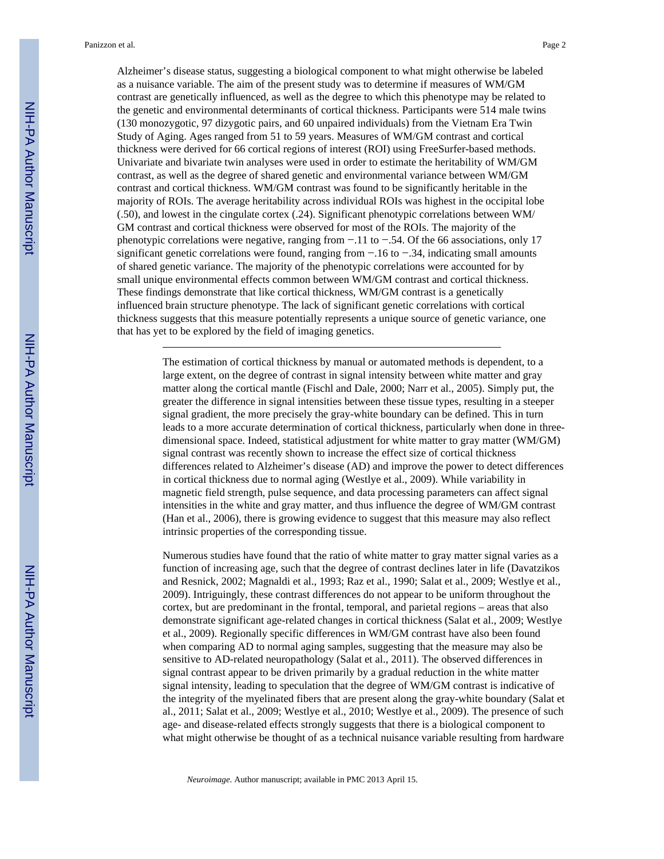Alzheimer's disease status, suggesting a biological component to what might otherwise be labeled as a nuisance variable. The aim of the present study was to determine if measures of WM/GM contrast are genetically influenced, as well as the degree to which this phenotype may be related to the genetic and environmental determinants of cortical thickness. Participants were 514 male twins (130 monozygotic, 97 dizygotic pairs, and 60 unpaired individuals) from the Vietnam Era Twin Study of Aging. Ages ranged from 51 to 59 years. Measures of WM/GM contrast and cortical thickness were derived for 66 cortical regions of interest (ROI) using FreeSurfer-based methods. Univariate and bivariate twin analyses were used in order to estimate the heritability of WM/GM contrast, as well as the degree of shared genetic and environmental variance between WM/GM contrast and cortical thickness. WM/GM contrast was found to be significantly heritable in the majority of ROIs. The average heritability across individual ROIs was highest in the occipital lobe (.50), and lowest in the cingulate cortex (.24). Significant phenotypic correlations between WM/ GM contrast and cortical thickness were observed for most of the ROIs. The majority of the phenotypic correlations were negative, ranging from −.11 to −.54. Of the 66 associations, only 17 significant genetic correlations were found, ranging from −.16 to −.34, indicating small amounts of shared genetic variance. The majority of the phenotypic correlations were accounted for by small unique environmental effects common between WM/GM contrast and cortical thickness. These findings demonstrate that like cortical thickness, WM/GM contrast is a genetically influenced brain structure phenotype. The lack of significant genetic correlations with cortical thickness suggests that this measure potentially represents a unique source of genetic variance, one that has yet to be explored by the field of imaging genetics.

> The estimation of cortical thickness by manual or automated methods is dependent, to a large extent, on the degree of contrast in signal intensity between white matter and gray matter along the cortical mantle (Fischl and Dale, 2000; Narr et al., 2005). Simply put, the greater the difference in signal intensities between these tissue types, resulting in a steeper signal gradient, the more precisely the gray-white boundary can be defined. This in turn leads to a more accurate determination of cortical thickness, particularly when done in threedimensional space. Indeed, statistical adjustment for white matter to gray matter (WM/GM) signal contrast was recently shown to increase the effect size of cortical thickness differences related to Alzheimer's disease (AD) and improve the power to detect differences in cortical thickness due to normal aging (Westlye et al., 2009). While variability in magnetic field strength, pulse sequence, and data processing parameters can affect signal intensities in the white and gray matter, and thus influence the degree of WM/GM contrast (Han et al., 2006), there is growing evidence to suggest that this measure may also reflect intrinsic properties of the corresponding tissue.

> Numerous studies have found that the ratio of white matter to gray matter signal varies as a function of increasing age, such that the degree of contrast declines later in life (Davatzikos and Resnick, 2002; Magnaldi et al., 1993; Raz et al., 1990; Salat et al., 2009; Westlye et al., 2009). Intriguingly, these contrast differences do not appear to be uniform throughout the cortex, but are predominant in the frontal, temporal, and parietal regions – areas that also demonstrate significant age-related changes in cortical thickness (Salat et al., 2009; Westlye et al., 2009). Regionally specific differences in WM/GM contrast have also been found when comparing AD to normal aging samples, suggesting that the measure may also be sensitive to AD-related neuropathology (Salat et al., 2011). The observed differences in signal contrast appear to be driven primarily by a gradual reduction in the white matter signal intensity, leading to speculation that the degree of WM/GM contrast is indicative of the integrity of the myelinated fibers that are present along the gray-white boundary (Salat et al., 2011; Salat et al., 2009; Westlye et al., 2010; Westlye et al., 2009). The presence of such age- and disease-related effects strongly suggests that there is a biological component to what might otherwise be thought of as a technical nuisance variable resulting from hardware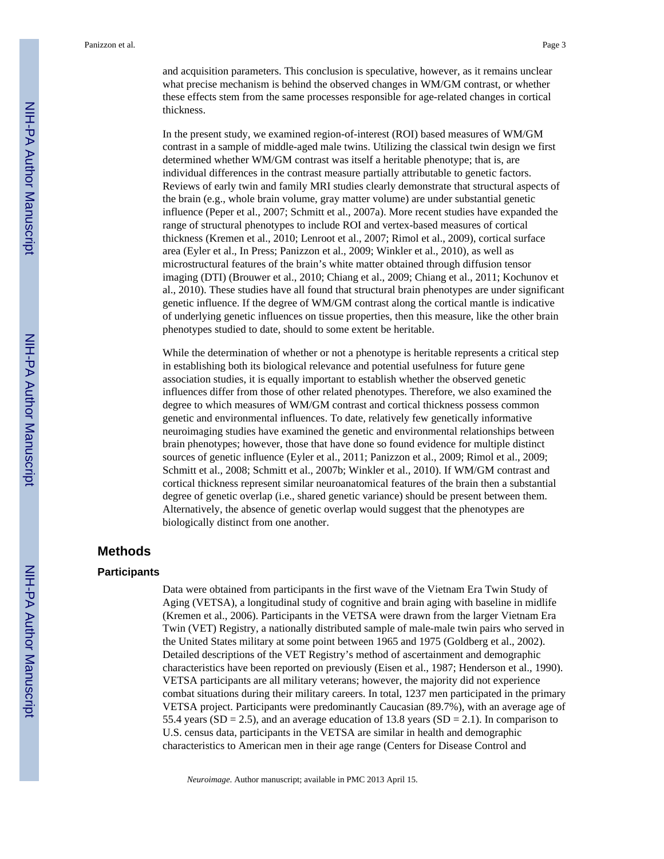and acquisition parameters. This conclusion is speculative, however, as it remains unclear what precise mechanism is behind the observed changes in WM/GM contrast, or whether these effects stem from the same processes responsible for age-related changes in cortical thickness.

In the present study, we examined region-of-interest (ROI) based measures of WM/GM contrast in a sample of middle-aged male twins. Utilizing the classical twin design we first determined whether WM/GM contrast was itself a heritable phenotype; that is, are individual differences in the contrast measure partially attributable to genetic factors. Reviews of early twin and family MRI studies clearly demonstrate that structural aspects of the brain (e.g., whole brain volume, gray matter volume) are under substantial genetic influence (Peper et al., 2007; Schmitt et al., 2007a). More recent studies have expanded the range of structural phenotypes to include ROI and vertex-based measures of cortical thickness (Kremen et al., 2010; Lenroot et al., 2007; Rimol et al., 2009), cortical surface area (Eyler et al., In Press; Panizzon et al., 2009; Winkler et al., 2010), as well as microstructural features of the brain's white matter obtained through diffusion tensor imaging (DTI) (Brouwer et al., 2010; Chiang et al., 2009; Chiang et al., 2011; Kochunov et al., 2010). These studies have all found that structural brain phenotypes are under significant genetic influence. If the degree of WM/GM contrast along the cortical mantle is indicative of underlying genetic influences on tissue properties, then this measure, like the other brain phenotypes studied to date, should to some extent be heritable.

While the determination of whether or not a phenotype is heritable represents a critical step in establishing both its biological relevance and potential usefulness for future gene association studies, it is equally important to establish whether the observed genetic influences differ from those of other related phenotypes. Therefore, we also examined the degree to which measures of WM/GM contrast and cortical thickness possess common genetic and environmental influences. To date, relatively few genetically informative neuroimaging studies have examined the genetic and environmental relationships between brain phenotypes; however, those that have done so found evidence for multiple distinct sources of genetic influence (Eyler et al., 2011; Panizzon et al., 2009; Rimol et al., 2009; Schmitt et al., 2008; Schmitt et al., 2007b; Winkler et al., 2010). If WM/GM contrast and cortical thickness represent similar neuroanatomical features of the brain then a substantial degree of genetic overlap (i.e., shared genetic variance) should be present between them. Alternatively, the absence of genetic overlap would suggest that the phenotypes are biologically distinct from one another.

#### **Methods**

#### **Participants**

Data were obtained from participants in the first wave of the Vietnam Era Twin Study of Aging (VETSA), a longitudinal study of cognitive and brain aging with baseline in midlife (Kremen et al., 2006). Participants in the VETSA were drawn from the larger Vietnam Era Twin (VET) Registry, a nationally distributed sample of male-male twin pairs who served in the United States military at some point between 1965 and 1975 (Goldberg et al., 2002). Detailed descriptions of the VET Registry's method of ascertainment and demographic characteristics have been reported on previously (Eisen et al., 1987; Henderson et al., 1990). VETSA participants are all military veterans; however, the majority did not experience combat situations during their military careers. In total, 1237 men participated in the primary VETSA project. Participants were predominantly Caucasian (89.7%), with an average age of 55.4 years (SD = 2.5), and an average education of 13.8 years (SD = 2.1). In comparison to U.S. census data, participants in the VETSA are similar in health and demographic characteristics to American men in their age range (Centers for Disease Control and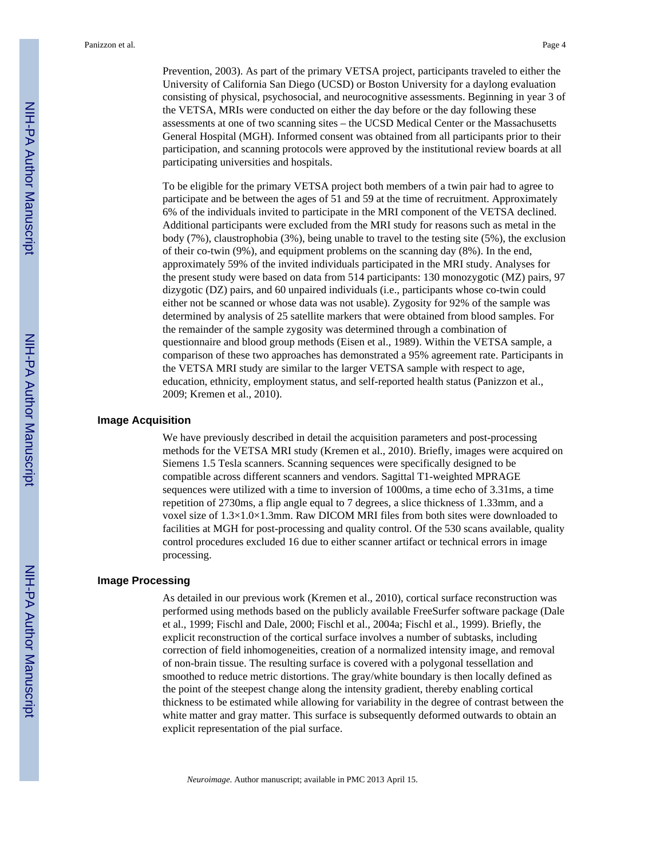Prevention, 2003). As part of the primary VETSA project, participants traveled to either the University of California San Diego (UCSD) or Boston University for a daylong evaluation consisting of physical, psychosocial, and neurocognitive assessments. Beginning in year 3 of the VETSA, MRIs were conducted on either the day before or the day following these assessments at one of two scanning sites – the UCSD Medical Center or the Massachusetts General Hospital (MGH). Informed consent was obtained from all participants prior to their participation, and scanning protocols were approved by the institutional review boards at all participating universities and hospitals.

To be eligible for the primary VETSA project both members of a twin pair had to agree to participate and be between the ages of 51 and 59 at the time of recruitment. Approximately 6% of the individuals invited to participate in the MRI component of the VETSA declined. Additional participants were excluded from the MRI study for reasons such as metal in the body (7%), claustrophobia (3%), being unable to travel to the testing site (5%), the exclusion of their co-twin (9%), and equipment problems on the scanning day (8%). In the end, approximately 59% of the invited individuals participated in the MRI study. Analyses for the present study were based on data from 514 participants: 130 monozygotic (MZ) pairs, 97 dizygotic (DZ) pairs, and 60 unpaired individuals (i.e., participants whose co-twin could either not be scanned or whose data was not usable). Zygosity for 92% of the sample was determined by analysis of 25 satellite markers that were obtained from blood samples. For the remainder of the sample zygosity was determined through a combination of questionnaire and blood group methods (Eisen et al., 1989). Within the VETSA sample, a comparison of these two approaches has demonstrated a 95% agreement rate. Participants in the VETSA MRI study are similar to the larger VETSA sample with respect to age, education, ethnicity, employment status, and self-reported health status (Panizzon et al., 2009; Kremen et al., 2010).

#### **Image Acquisition**

We have previously described in detail the acquisition parameters and post-processing methods for the VETSA MRI study (Kremen et al., 2010). Briefly, images were acquired on Siemens 1.5 Tesla scanners. Scanning sequences were specifically designed to be compatible across different scanners and vendors. Sagittal T1-weighted MPRAGE sequences were utilized with a time to inversion of 1000ms, a time echo of 3.31ms, a time repetition of 2730ms, a flip angle equal to 7 degrees, a slice thickness of 1.33mm, and a voxel size of 1.3×1.0×1.3mm. Raw DICOM MRI files from both sites were downloaded to facilities at MGH for post-processing and quality control. Of the 530 scans available, quality control procedures excluded 16 due to either scanner artifact or technical errors in image processing.

#### **Image Processing**

As detailed in our previous work (Kremen et al., 2010), cortical surface reconstruction was performed using methods based on the publicly available FreeSurfer software package (Dale et al., 1999; Fischl and Dale, 2000; Fischl et al., 2004a; Fischl et al., 1999). Briefly, the explicit reconstruction of the cortical surface involves a number of subtasks, including correction of field inhomogeneities, creation of a normalized intensity image, and removal of non-brain tissue. The resulting surface is covered with a polygonal tessellation and smoothed to reduce metric distortions. The gray/white boundary is then locally defined as the point of the steepest change along the intensity gradient, thereby enabling cortical thickness to be estimated while allowing for variability in the degree of contrast between the white matter and gray matter. This surface is subsequently deformed outwards to obtain an explicit representation of the pial surface.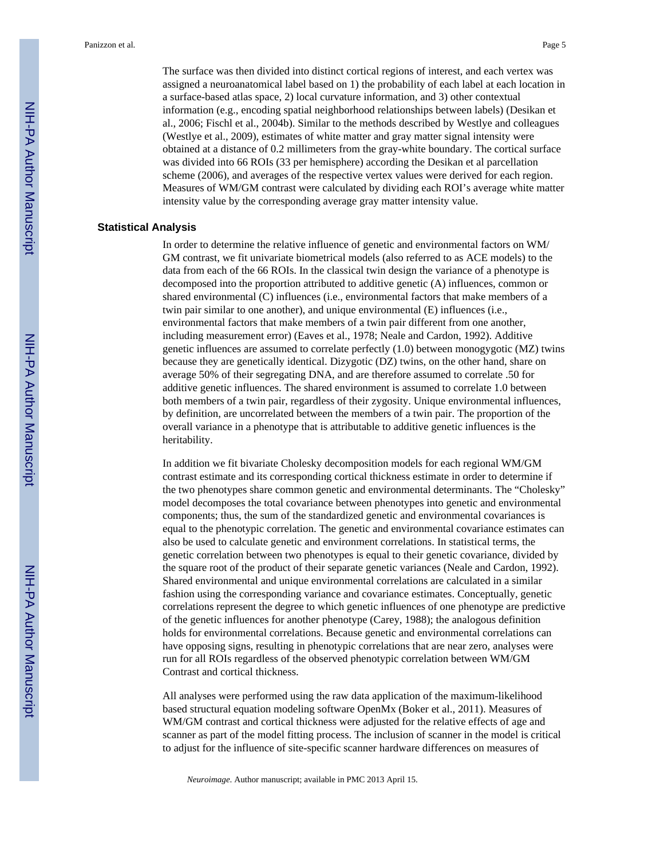The surface was then divided into distinct cortical regions of interest, and each vertex was assigned a neuroanatomical label based on 1) the probability of each label at each location in a surface-based atlas space, 2) local curvature information, and 3) other contextual information (e.g., encoding spatial neighborhood relationships between labels) (Desikan et al., 2006; Fischl et al., 2004b). Similar to the methods described by Westlye and colleagues (Westlye et al., 2009), estimates of white matter and gray matter signal intensity were obtained at a distance of 0.2 millimeters from the gray-white boundary. The cortical surface was divided into 66 ROIs (33 per hemisphere) according the Desikan et al parcellation scheme (2006), and averages of the respective vertex values were derived for each region. Measures of WM/GM contrast were calculated by dividing each ROI's average white matter intensity value by the corresponding average gray matter intensity value.

#### **Statistical Analysis**

In order to determine the relative influence of genetic and environmental factors on WM/ GM contrast, we fit univariate biometrical models (also referred to as ACE models) to the data from each of the 66 ROIs. In the classical twin design the variance of a phenotype is decomposed into the proportion attributed to additive genetic (A) influences, common or shared environmental (C) influences (i.e., environmental factors that make members of a twin pair similar to one another), and unique environmental (E) influences (i.e., environmental factors that make members of a twin pair different from one another, including measurement error) (Eaves et al., 1978; Neale and Cardon, 1992). Additive genetic influences are assumed to correlate perfectly (1.0) between monogygotic (MZ) twins because they are genetically identical. Dizygotic (DZ) twins, on the other hand, share on average 50% of their segregating DNA, and are therefore assumed to correlate .50 for additive genetic influences. The shared environment is assumed to correlate 1.0 between both members of a twin pair, regardless of their zygosity. Unique environmental influences, by definition, are uncorrelated between the members of a twin pair. The proportion of the overall variance in a phenotype that is attributable to additive genetic influences is the heritability.

In addition we fit bivariate Cholesky decomposition models for each regional WM/GM contrast estimate and its corresponding cortical thickness estimate in order to determine if the two phenotypes share common genetic and environmental determinants. The "Cholesky" model decomposes the total covariance between phenotypes into genetic and environmental components; thus, the sum of the standardized genetic and environmental covariances is equal to the phenotypic correlation. The genetic and environmental covariance estimates can also be used to calculate genetic and environment correlations. In statistical terms, the genetic correlation between two phenotypes is equal to their genetic covariance, divided by the square root of the product of their separate genetic variances (Neale and Cardon, 1992). Shared environmental and unique environmental correlations are calculated in a similar fashion using the corresponding variance and covariance estimates. Conceptually, genetic correlations represent the degree to which genetic influences of one phenotype are predictive of the genetic influences for another phenotype (Carey, 1988); the analogous definition holds for environmental correlations. Because genetic and environmental correlations can have opposing signs, resulting in phenotypic correlations that are near zero, analyses were run for all ROIs regardless of the observed phenotypic correlation between WM/GM Contrast and cortical thickness.

All analyses were performed using the raw data application of the maximum-likelihood based structural equation modeling software OpenMx (Boker et al., 2011). Measures of WM/GM contrast and cortical thickness were adjusted for the relative effects of age and scanner as part of the model fitting process. The inclusion of scanner in the model is critical to adjust for the influence of site-specific scanner hardware differences on measures of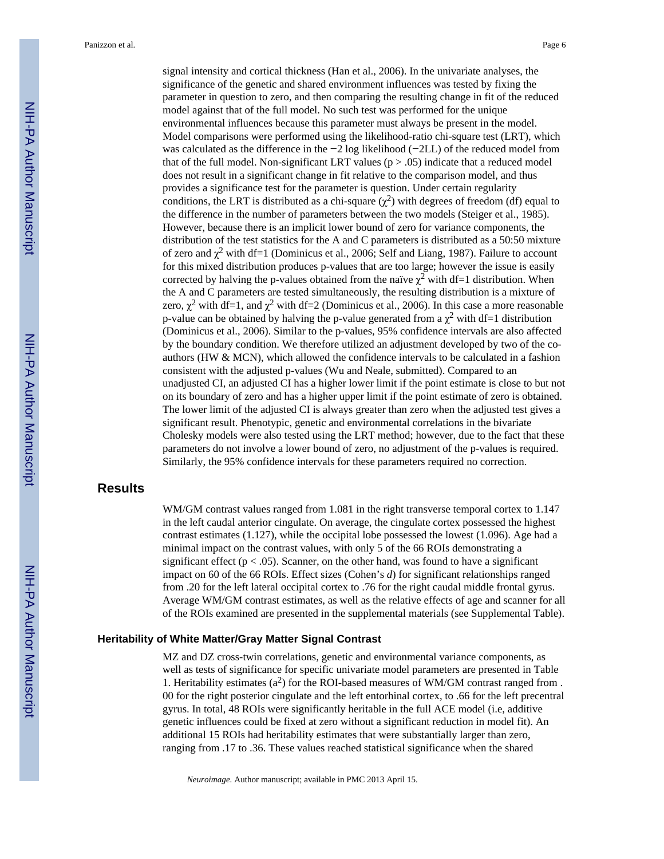signal intensity and cortical thickness (Han et al., 2006). In the univariate analyses, the significance of the genetic and shared environment influences was tested by fixing the parameter in question to zero, and then comparing the resulting change in fit of the reduced model against that of the full model. No such test was performed for the unique environmental influences because this parameter must always be present in the model. Model comparisons were performed using the likelihood-ratio chi-square test (LRT), which was calculated as the difference in the −2 log likelihood (−2LL) of the reduced model from that of the full model. Non-significant LRT values ( $p > .05$ ) indicate that a reduced model does not result in a significant change in fit relative to the comparison model, and thus provides a significance test for the parameter is question. Under certain regularity conditions, the LRT is distributed as a chi-square  $(\chi^2)$  with degrees of freedom (df) equal to the difference in the number of parameters between the two models (Steiger et al., 1985). However, because there is an implicit lower bound of zero for variance components, the distribution of the test statistics for the A and C parameters is distributed as a 50:50 mixture of zero and  $\chi^2$  with df=1 (Dominicus et al., 2006; Self and Liang, 1987). Failure to account for this mixed distribution produces p-values that are too large; however the issue is easily corrected by halving the p-values obtained from the naïve  $\chi^2$  with df=1 distribution. When the A and C parameters are tested simultaneously, the resulting distribution is a mixture of zero,  $\chi^2$  with df=1, and  $\chi^2$  with df=2 (Dominicus et al., 2006). In this case a more reasonable p-value can be obtained by halving the p-value generated from a  $\chi^2$  with df=1 distribution (Dominicus et al., 2006). Similar to the p-values, 95% confidence intervals are also affected by the boundary condition. We therefore utilized an adjustment developed by two of the coauthors (HW & MCN), which allowed the confidence intervals to be calculated in a fashion consistent with the adjusted p-values (Wu and Neale, submitted). Compared to an unadjusted CI, an adjusted CI has a higher lower limit if the point estimate is close to but not on its boundary of zero and has a higher upper limit if the point estimate of zero is obtained. The lower limit of the adjusted CI is always greater than zero when the adjusted test gives a significant result. Phenotypic, genetic and environmental correlations in the bivariate Cholesky models were also tested using the LRT method; however, due to the fact that these parameters do not involve a lower bound of zero, no adjustment of the p-values is required. Similarly, the 95% confidence intervals for these parameters required no correction.

#### **Results**

WM/GM contrast values ranged from 1.081 in the right transverse temporal cortex to 1.147 in the left caudal anterior cingulate. On average, the cingulate cortex possessed the highest contrast estimates (1.127), while the occipital lobe possessed the lowest (1.096). Age had a minimal impact on the contrast values, with only 5 of the 66 ROIs demonstrating a significant effect ( $p < .05$ ). Scanner, on the other hand, was found to have a significant impact on 60 of the 66 ROIs. Effect sizes (Cohen's *d*) for significant relationships ranged from .20 for the left lateral occipital cortex to .76 for the right caudal middle frontal gyrus. Average WM/GM contrast estimates, as well as the relative effects of age and scanner for all of the ROIs examined are presented in the supplemental materials (see Supplemental Table).

#### **Heritability of White Matter/Gray Matter Signal Contrast**

MZ and DZ cross-twin correlations, genetic and environmental variance components, as well as tests of significance for specific univariate model parameters are presented in Table 1. Heritability estimates  $(a^2)$  for the ROI-based measures of WM/GM contrast ranged from . 00 for the right posterior cingulate and the left entorhinal cortex, to .66 for the left precentral gyrus. In total, 48 ROIs were significantly heritable in the full ACE model (i.e, additive genetic influences could be fixed at zero without a significant reduction in model fit). An additional 15 ROIs had heritability estimates that were substantially larger than zero, ranging from .17 to .36. These values reached statistical significance when the shared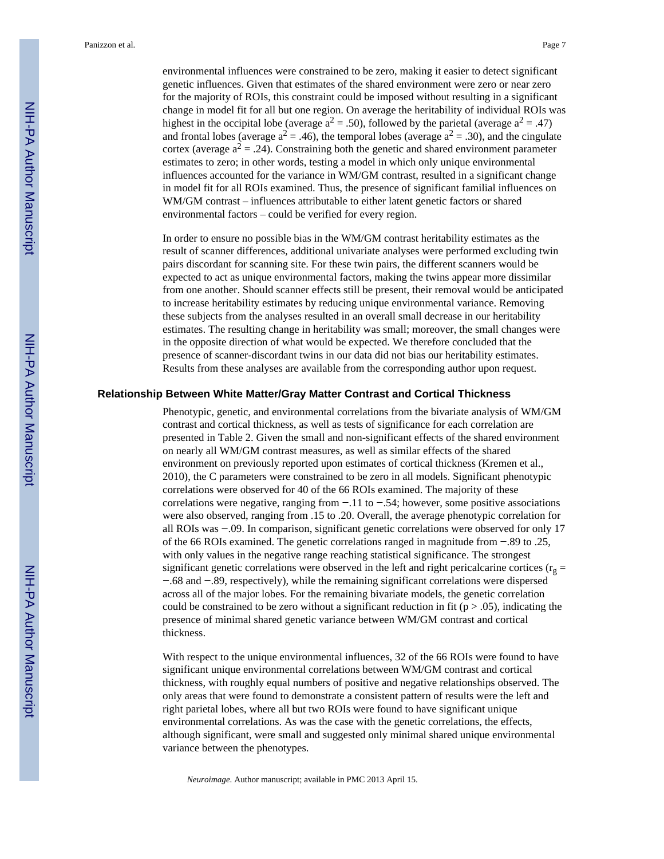Panizzon et al. Page 7

environmental influences were constrained to be zero, making it easier to detect significant genetic influences. Given that estimates of the shared environment were zero or near zero for the majority of ROIs, this constraint could be imposed without resulting in a significant change in model fit for all but one region. On average the heritability of individual ROIs was highest in the occipital lobe (average  $a^2 = .50$ ), followed by the parietal (average  $a^2 = .47$ ) and frontal lobes (average  $a^2 = .46$ ), the temporal lobes (average  $a^2 = .30$ ), and the cingulate cortex (average  $a^2 = .24$ ). Constraining both the genetic and shared environment parameter estimates to zero; in other words, testing a model in which only unique environmental influences accounted for the variance in WM/GM contrast, resulted in a significant change in model fit for all ROIs examined. Thus, the presence of significant familial influences on WM/GM contrast – influences attributable to either latent genetic factors or shared environmental factors – could be verified for every region.

In order to ensure no possible bias in the WM/GM contrast heritability estimates as the result of scanner differences, additional univariate analyses were performed excluding twin pairs discordant for scanning site. For these twin pairs, the different scanners would be expected to act as unique environmental factors, making the twins appear more dissimilar from one another. Should scanner effects still be present, their removal would be anticipated to increase heritability estimates by reducing unique environmental variance. Removing these subjects from the analyses resulted in an overall small decrease in our heritability estimates. The resulting change in heritability was small; moreover, the small changes were in the opposite direction of what would be expected. We therefore concluded that the presence of scanner-discordant twins in our data did not bias our heritability estimates. Results from these analyses are available from the corresponding author upon request.

#### **Relationship Between White Matter/Gray Matter Contrast and Cortical Thickness**

Phenotypic, genetic, and environmental correlations from the bivariate analysis of WM/GM contrast and cortical thickness, as well as tests of significance for each correlation are presented in Table 2. Given the small and non-significant effects of the shared environment on nearly all WM/GM contrast measures, as well as similar effects of the shared environment on previously reported upon estimates of cortical thickness (Kremen et al., 2010), the C parameters were constrained to be zero in all models. Significant phenotypic correlations were observed for 40 of the 66 ROIs examined. The majority of these correlations were negative, ranging from −.11 to −.54; however, some positive associations were also observed, ranging from .15 to .20. Overall, the average phenotypic correlation for all ROIs was −.09. In comparison, significant genetic correlations were observed for only 17 of the 66 ROIs examined. The genetic correlations ranged in magnitude from −.89 to .25, with only values in the negative range reaching statistical significance. The strongest significant genetic correlations were observed in the left and right pericalcarine cortices ( $r<sub>g</sub>$  = −.68 and −.89, respectively), while the remaining significant correlations were dispersed across all of the major lobes. For the remaining bivariate models, the genetic correlation could be constrained to be zero without a significant reduction in fit ( $p > .05$ ), indicating the presence of minimal shared genetic variance between WM/GM contrast and cortical thickness.

With respect to the unique environmental influences, 32 of the 66 ROIs were found to have significant unique environmental correlations between WM/GM contrast and cortical thickness, with roughly equal numbers of positive and negative relationships observed. The only areas that were found to demonstrate a consistent pattern of results were the left and right parietal lobes, where all but two ROIs were found to have significant unique environmental correlations. As was the case with the genetic correlations, the effects, although significant, were small and suggested only minimal shared unique environmental variance between the phenotypes.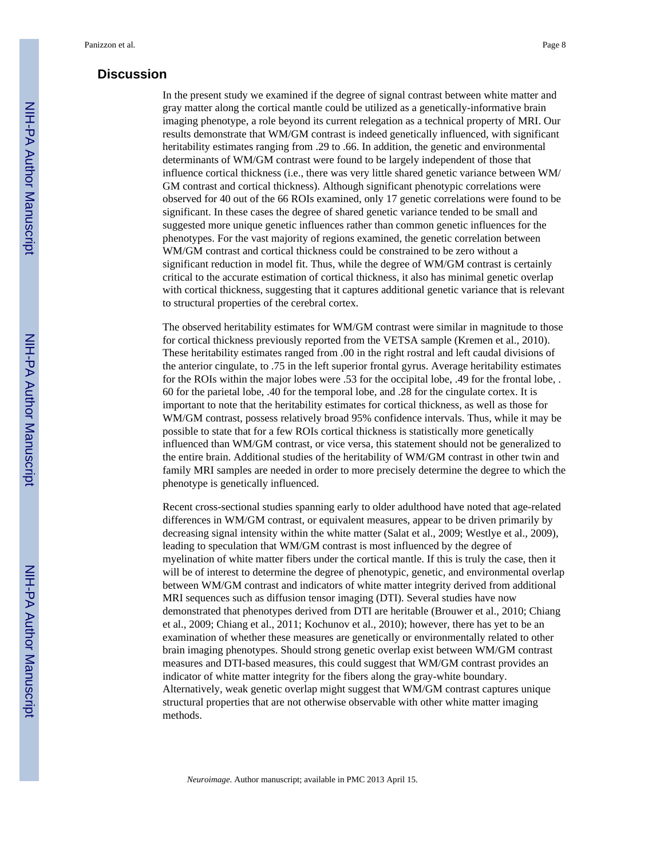#### **Discussion**

In the present study we examined if the degree of signal contrast between white matter and gray matter along the cortical mantle could be utilized as a genetically-informative brain imaging phenotype, a role beyond its current relegation as a technical property of MRI. Our results demonstrate that WM/GM contrast is indeed genetically influenced, with significant heritability estimates ranging from .29 to .66. In addition, the genetic and environmental determinants of WM/GM contrast were found to be largely independent of those that influence cortical thickness (i.e., there was very little shared genetic variance between WM/ GM contrast and cortical thickness). Although significant phenotypic correlations were observed for 40 out of the 66 ROIs examined, only 17 genetic correlations were found to be significant. In these cases the degree of shared genetic variance tended to be small and suggested more unique genetic influences rather than common genetic influences for the phenotypes. For the vast majority of regions examined, the genetic correlation between WM/GM contrast and cortical thickness could be constrained to be zero without a significant reduction in model fit. Thus, while the degree of WM/GM contrast is certainly critical to the accurate estimation of cortical thickness, it also has minimal genetic overlap with cortical thickness, suggesting that it captures additional genetic variance that is relevant to structural properties of the cerebral cortex.

The observed heritability estimates for WM/GM contrast were similar in magnitude to those for cortical thickness previously reported from the VETSA sample (Kremen et al., 2010). These heritability estimates ranged from .00 in the right rostral and left caudal divisions of the anterior cingulate, to .75 in the left superior frontal gyrus. Average heritability estimates for the ROIs within the major lobes were .53 for the occipital lobe, .49 for the frontal lobe, . 60 for the parietal lobe, .40 for the temporal lobe, and .28 for the cingulate cortex. It is important to note that the heritability estimates for cortical thickness, as well as those for WM/GM contrast, possess relatively broad 95% confidence intervals. Thus, while it may be possible to state that for a few ROIs cortical thickness is statistically more genetically influenced than WM/GM contrast, or vice versa, this statement should not be generalized to the entire brain. Additional studies of the heritability of WM/GM contrast in other twin and family MRI samples are needed in order to more precisely determine the degree to which the phenotype is genetically influenced.

Recent cross-sectional studies spanning early to older adulthood have noted that age-related differences in WM/GM contrast, or equivalent measures, appear to be driven primarily by decreasing signal intensity within the white matter (Salat et al., 2009; Westlye et al., 2009), leading to speculation that WM/GM contrast is most influenced by the degree of myelination of white matter fibers under the cortical mantle. If this is truly the case, then it will be of interest to determine the degree of phenotypic, genetic, and environmental overlap between WM/GM contrast and indicators of white matter integrity derived from additional MRI sequences such as diffusion tensor imaging (DTI). Several studies have now demonstrated that phenotypes derived from DTI are heritable (Brouwer et al., 2010; Chiang et al., 2009; Chiang et al., 2011; Kochunov et al., 2010); however, there has yet to be an examination of whether these measures are genetically or environmentally related to other brain imaging phenotypes. Should strong genetic overlap exist between WM/GM contrast measures and DTI-based measures, this could suggest that WM/GM contrast provides an indicator of white matter integrity for the fibers along the gray-white boundary. Alternatively, weak genetic overlap might suggest that WM/GM contrast captures unique structural properties that are not otherwise observable with other white matter imaging methods.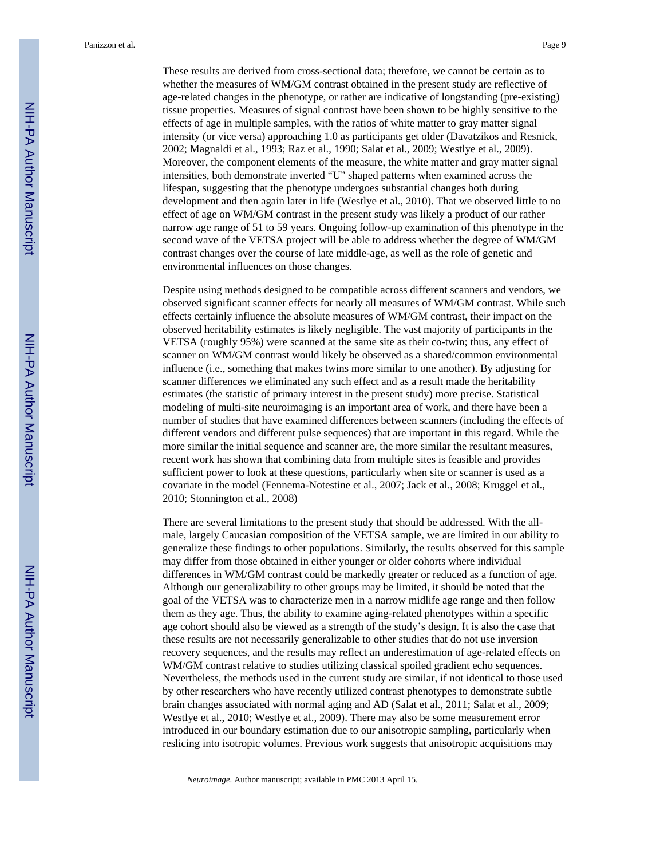These results are derived from cross-sectional data; therefore, we cannot be certain as to whether the measures of WM/GM contrast obtained in the present study are reflective of age-related changes in the phenotype, or rather are indicative of longstanding (pre-existing) tissue properties. Measures of signal contrast have been shown to be highly sensitive to the effects of age in multiple samples, with the ratios of white matter to gray matter signal intensity (or vice versa) approaching 1.0 as participants get older (Davatzikos and Resnick, 2002; Magnaldi et al., 1993; Raz et al., 1990; Salat et al., 2009; Westlye et al., 2009). Moreover, the component elements of the measure, the white matter and gray matter signal intensities, both demonstrate inverted "U" shaped patterns when examined across the lifespan, suggesting that the phenotype undergoes substantial changes both during development and then again later in life (Westlye et al., 2010). That we observed little to no effect of age on WM/GM contrast in the present study was likely a product of our rather narrow age range of 51 to 59 years. Ongoing follow-up examination of this phenotype in the second wave of the VETSA project will be able to address whether the degree of WM/GM contrast changes over the course of late middle-age, as well as the role of genetic and environmental influences on those changes.

Despite using methods designed to be compatible across different scanners and vendors, we observed significant scanner effects for nearly all measures of WM/GM contrast. While such effects certainly influence the absolute measures of WM/GM contrast, their impact on the observed heritability estimates is likely negligible. The vast majority of participants in the VETSA (roughly 95%) were scanned at the same site as their co-twin; thus, any effect of scanner on WM/GM contrast would likely be observed as a shared/common environmental influence (i.e., something that makes twins more similar to one another). By adjusting for scanner differences we eliminated any such effect and as a result made the heritability estimates (the statistic of primary interest in the present study) more precise. Statistical modeling of multi-site neuroimaging is an important area of work, and there have been a number of studies that have examined differences between scanners (including the effects of different vendors and different pulse sequences) that are important in this regard. While the more similar the initial sequence and scanner are, the more similar the resultant measures, recent work has shown that combining data from multiple sites is feasible and provides sufficient power to look at these questions, particularly when site or scanner is used as a covariate in the model (Fennema-Notestine et al., 2007; Jack et al., 2008; Kruggel et al., 2010; Stonnington et al., 2008)

There are several limitations to the present study that should be addressed. With the allmale, largely Caucasian composition of the VETSA sample, we are limited in our ability to generalize these findings to other populations. Similarly, the results observed for this sample may differ from those obtained in either younger or older cohorts where individual differences in WM/GM contrast could be markedly greater or reduced as a function of age. Although our generalizability to other groups may be limited, it should be noted that the goal of the VETSA was to characterize men in a narrow midlife age range and then follow them as they age. Thus, the ability to examine aging-related phenotypes within a specific age cohort should also be viewed as a strength of the study's design. It is also the case that these results are not necessarily generalizable to other studies that do not use inversion recovery sequences, and the results may reflect an underestimation of age-related effects on WM/GM contrast relative to studies utilizing classical spoiled gradient echo sequences. Nevertheless, the methods used in the current study are similar, if not identical to those used by other researchers who have recently utilized contrast phenotypes to demonstrate subtle brain changes associated with normal aging and AD (Salat et al., 2011; Salat et al., 2009; Westlye et al., 2010; Westlye et al., 2009). There may also be some measurement error introduced in our boundary estimation due to our anisotropic sampling, particularly when reslicing into isotropic volumes. Previous work suggests that anisotropic acquisitions may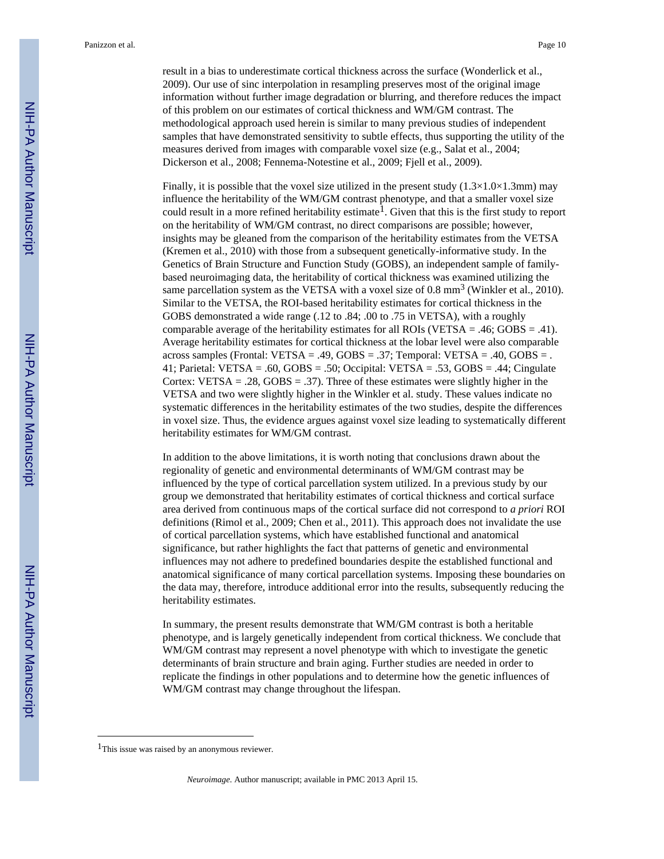Panizzon et al. Page 10

result in a bias to underestimate cortical thickness across the surface (Wonderlick et al., 2009). Our use of sinc interpolation in resampling preserves most of the original image information without further image degradation or blurring, and therefore reduces the impact of this problem on our estimates of cortical thickness and WM/GM contrast. The methodological approach used herein is similar to many previous studies of independent samples that have demonstrated sensitivity to subtle effects, thus supporting the utility of the measures derived from images with comparable voxel size (e.g., Salat et al., 2004; Dickerson et al., 2008; Fennema-Notestine et al., 2009; Fjell et al., 2009).

Finally, it is possible that the voxel size utilized in the present study  $(1.3\times1.0\times1.3 \text{mm})$  may influence the heritability of the WM/GM contrast phenotype, and that a smaller voxel size could result in a more refined heritability estimate<sup>1</sup>. Given that this is the first study to report on the heritability of WM/GM contrast, no direct comparisons are possible; however, insights may be gleaned from the comparison of the heritability estimates from the VETSA (Kremen et al., 2010) with those from a subsequent genetically-informative study. In the Genetics of Brain Structure and Function Study (GOBS), an independent sample of familybased neuroimaging data, the heritability of cortical thickness was examined utilizing the same parcellation system as the VETSA with a voxel size of  $0.8 \text{ mm}^3$  (Winkler et al., 2010). Similar to the VETSA, the ROI-based heritability estimates for cortical thickness in the GOBS demonstrated a wide range (.12 to .84; .00 to .75 in VETSA), with a roughly comparable average of the heritability estimates for all ROIs (VETSA = .46; GOBS = .41). Average heritability estimates for cortical thickness at the lobar level were also comparable across samples (Frontal: VETSA = .49,  $GOBS = .37$ ; Temporal: VETSA = .40,  $GOBS = .$ 41; Parietal: VETSA = .60, GOBS = .50; Occipital: VETSA = .53, GOBS = .44; Cingulate Cortex: VETSA =  $.28$ , GOBS =  $.37$ ). Three of these estimates were slightly higher in the VETSA and two were slightly higher in the Winkler et al. study. These values indicate no systematic differences in the heritability estimates of the two studies, despite the differences in voxel size. Thus, the evidence argues against voxel size leading to systematically different heritability estimates for WM/GM contrast.

In addition to the above limitations, it is worth noting that conclusions drawn about the regionality of genetic and environmental determinants of WM/GM contrast may be influenced by the type of cortical parcellation system utilized. In a previous study by our group we demonstrated that heritability estimates of cortical thickness and cortical surface area derived from continuous maps of the cortical surface did not correspond to *a priori* ROI definitions (Rimol et al., 2009; Chen et al., 2011). This approach does not invalidate the use of cortical parcellation systems, which have established functional and anatomical significance, but rather highlights the fact that patterns of genetic and environmental influences may not adhere to predefined boundaries despite the established functional and anatomical significance of many cortical parcellation systems. Imposing these boundaries on the data may, therefore, introduce additional error into the results, subsequently reducing the heritability estimates.

In summary, the present results demonstrate that WM/GM contrast is both a heritable phenotype, and is largely genetically independent from cortical thickness. We conclude that WM/GM contrast may represent a novel phenotype with which to investigate the genetic determinants of brain structure and brain aging. Further studies are needed in order to replicate the findings in other populations and to determine how the genetic influences of WM/GM contrast may change throughout the lifespan.

<sup>1</sup>This issue was raised by an anonymous reviewer.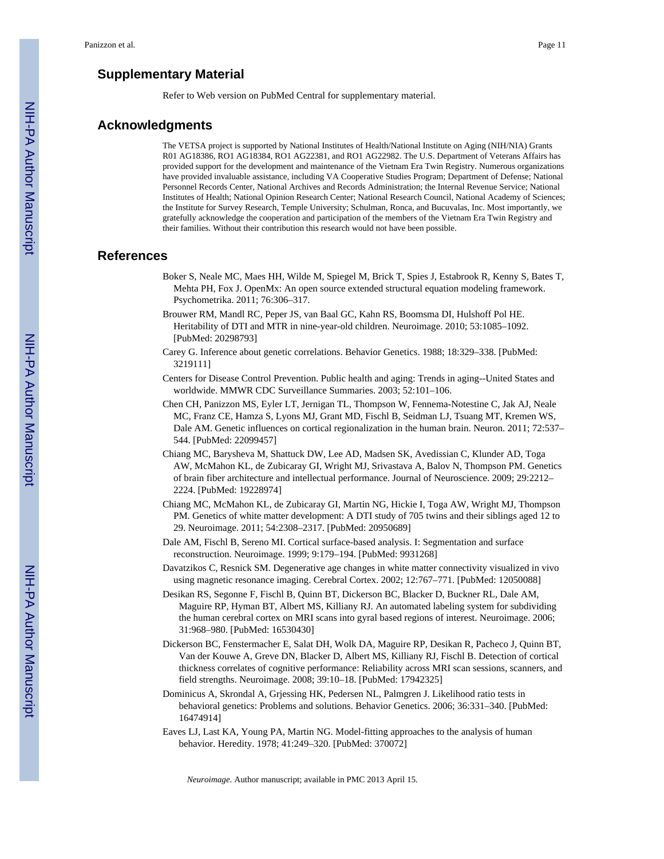#### **Supplementary Material**

Refer to Web version on PubMed Central for supplementary material.

#### **Acknowledgments**

The VETSA project is supported by National Institutes of Health/National Institute on Aging (NIH/NIA) Grants R01 AG18386, RO1 AG18384, RO1 AG22381, and RO1 AG22982. The U.S. Department of Veterans Affairs has provided support for the development and maintenance of the Vietnam Era Twin Registry. Numerous organizations have provided invaluable assistance, including VA Cooperative Studies Program; Department of Defense; National Personnel Records Center, National Archives and Records Administration; the Internal Revenue Service; National Institutes of Health; National Opinion Research Center; National Research Council, National Academy of Sciences; the Institute for Survey Research, Temple University; Schulman, Ronca, and Bucuvalas, Inc. Most importantly, we gratefully acknowledge the cooperation and participation of the members of the Vietnam Era Twin Registry and their families. Without their contribution this research would not have been possible.

#### **References**

- Boker S, Neale MC, Maes HH, Wilde M, Spiegel M, Brick T, Spies J, Estabrook R, Kenny S, Bates T, Mehta PH, Fox J. OpenMx: An open source extended structural equation modeling framework. Psychometrika. 2011; 76:306–317.
- Brouwer RM, Mandl RC, Peper JS, van Baal GC, Kahn RS, Boomsma DI, Hulshoff Pol HE. Heritability of DTI and MTR in nine-year-old children. Neuroimage. 2010; 53:1085–1092. [PubMed: 20298793]
- Carey G. Inference about genetic correlations. Behavior Genetics. 1988; 18:329–338. [PubMed: 3219111]
- Centers for Disease Control Prevention. Public health and aging: Trends in aging--United States and worldwide. MMWR CDC Surveillance Summaries. 2003; 52:101–106.
- Chen CH, Panizzon MS, Eyler LT, Jernigan TL, Thompson W, Fennema-Notestine C, Jak AJ, Neale MC, Franz CE, Hamza S, Lyons MJ, Grant MD, Fischl B, Seidman LJ, Tsuang MT, Kremen WS, Dale AM. Genetic influences on cortical regionalization in the human brain. Neuron. 2011; 72:537– 544. [PubMed: 22099457]
- Chiang MC, Barysheva M, Shattuck DW, Lee AD, Madsen SK, Avedissian C, Klunder AD, Toga AW, McMahon KL, de Zubicaray GI, Wright MJ, Srivastava A, Balov N, Thompson PM. Genetics of brain fiber architecture and intellectual performance. Journal of Neuroscience. 2009; 29:2212– 2224. [PubMed: 19228974]
- Chiang MC, McMahon KL, de Zubicaray GI, Martin NG, Hickie I, Toga AW, Wright MJ, Thompson PM. Genetics of white matter development: A DTI study of 705 twins and their siblings aged 12 to 29. Neuroimage. 2011; 54:2308–2317. [PubMed: 20950689]
- Dale AM, Fischl B, Sereno MI. Cortical surface-based analysis. I: Segmentation and surface reconstruction. Neuroimage. 1999; 9:179–194. [PubMed: 9931268]
- Davatzikos C, Resnick SM. Degenerative age changes in white matter connectivity visualized in vivo using magnetic resonance imaging. Cerebral Cortex. 2002; 12:767–771. [PubMed: 12050088]
- Desikan RS, Segonne F, Fischl B, Quinn BT, Dickerson BC, Blacker D, Buckner RL, Dale AM, Maguire RP, Hyman BT, Albert MS, Killiany RJ. An automated labeling system for subdividing the human cerebral cortex on MRI scans into gyral based regions of interest. Neuroimage. 2006; 31:968–980. [PubMed: 16530430]
- Dickerson BC, Fenstermacher E, Salat DH, Wolk DA, Maguire RP, Desikan R, Pacheco J, Quinn BT, Van der Kouwe A, Greve DN, Blacker D, Albert MS, Killiany RJ, Fischl B. Detection of cortical thickness correlates of cognitive performance: Reliability across MRI scan sessions, scanners, and field strengths. Neuroimage. 2008; 39:10–18. [PubMed: 17942325]
- Dominicus A, Skrondal A, Grjessing HK, Pedersen NL, Palmgren J. Likelihood ratio tests in behavioral genetics: Problems and solutions. Behavior Genetics. 2006; 36:331–340. [PubMed: 16474914]
- Eaves LJ, Last KA, Young PA, Martin NG. Model-fitting approaches to the analysis of human behavior. Heredity. 1978; 41:249–320. [PubMed: 370072]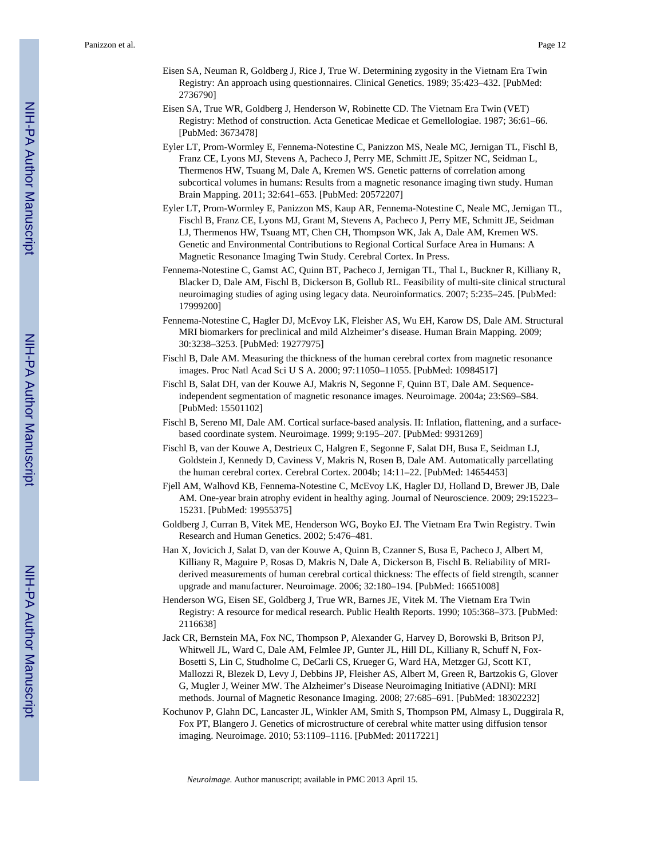- Eisen SA, Neuman R, Goldberg J, Rice J, True W. Determining zygosity in the Vietnam Era Twin Registry: An approach using questionnaires. Clinical Genetics. 1989; 35:423–432. [PubMed: 2736790]
- Eisen SA, True WR, Goldberg J, Henderson W, Robinette CD. The Vietnam Era Twin (VET) Registry: Method of construction. Acta Geneticae Medicae et Gemellologiae. 1987; 36:61–66. [PubMed: 3673478]
- Eyler LT, Prom-Wormley E, Fennema-Notestine C, Panizzon MS, Neale MC, Jernigan TL, Fischl B, Franz CE, Lyons MJ, Stevens A, Pacheco J, Perry ME, Schmitt JE, Spitzer NC, Seidman L, Thermenos HW, Tsuang M, Dale A, Kremen WS. Genetic patterns of correlation among subcortical volumes in humans: Results from a magnetic resonance imaging tiwn study. Human Brain Mapping. 2011; 32:641–653. [PubMed: 20572207]
- Eyler LT, Prom-Wormley E, Panizzon MS, Kaup AR, Fennema-Notestine C, Neale MC, Jernigan TL, Fischl B, Franz CE, Lyons MJ, Grant M, Stevens A, Pacheco J, Perry ME, Schmitt JE, Seidman LJ, Thermenos HW, Tsuang MT, Chen CH, Thompson WK, Jak A, Dale AM, Kremen WS. Genetic and Environmental Contributions to Regional Cortical Surface Area in Humans: A Magnetic Resonance Imaging Twin Study. Cerebral Cortex. In Press.
- Fennema-Notestine C, Gamst AC, Quinn BT, Pacheco J, Jernigan TL, Thal L, Buckner R, Killiany R, Blacker D, Dale AM, Fischl B, Dickerson B, Gollub RL. Feasibility of multi-site clinical structural neuroimaging studies of aging using legacy data. Neuroinformatics. 2007; 5:235–245. [PubMed: 17999200]
- Fennema-Notestine C, Hagler DJ, McEvoy LK, Fleisher AS, Wu EH, Karow DS, Dale AM. Structural MRI biomarkers for preclinical and mild Alzheimer's disease. Human Brain Mapping. 2009; 30:3238–3253. [PubMed: 19277975]
- Fischl B, Dale AM. Measuring the thickness of the human cerebral cortex from magnetic resonance images. Proc Natl Acad Sci U S A. 2000; 97:11050–11055. [PubMed: 10984517]
- Fischl B, Salat DH, van der Kouwe AJ, Makris N, Segonne F, Quinn BT, Dale AM. Sequenceindependent segmentation of magnetic resonance images. Neuroimage. 2004a; 23:S69–S84. [PubMed: 15501102]
- Fischl B, Sereno MI, Dale AM. Cortical surface-based analysis. II: Inflation, flattening, and a surfacebased coordinate system. Neuroimage. 1999; 9:195–207. [PubMed: 9931269]
- Fischl B, van der Kouwe A, Destrieux C, Halgren E, Segonne F, Salat DH, Busa E, Seidman LJ, Goldstein J, Kennedy D, Caviness V, Makris N, Rosen B, Dale AM. Automatically parcellating the human cerebral cortex. Cerebral Cortex. 2004b; 14:11–22. [PubMed: 14654453]
- Fjell AM, Walhovd KB, Fennema-Notestine C, McEvoy LK, Hagler DJ, Holland D, Brewer JB, Dale AM. One-year brain atrophy evident in healthy aging. Journal of Neuroscience. 2009; 29:15223– 15231. [PubMed: 19955375]
- Goldberg J, Curran B, Vitek ME, Henderson WG, Boyko EJ. The Vietnam Era Twin Registry. Twin Research and Human Genetics. 2002; 5:476–481.
- Han X, Jovicich J, Salat D, van der Kouwe A, Quinn B, Czanner S, Busa E, Pacheco J, Albert M, Killiany R, Maguire P, Rosas D, Makris N, Dale A, Dickerson B, Fischl B. Reliability of MRIderived measurements of human cerebral cortical thickness: The effects of field strength, scanner upgrade and manufacturer. Neuroimage. 2006; 32:180–194. [PubMed: 16651008]
- Henderson WG, Eisen SE, Goldberg J, True WR, Barnes JE, Vitek M. The Vietnam Era Twin Registry: A resource for medical research. Public Health Reports. 1990; 105:368–373. [PubMed: 2116638]
- Jack CR, Bernstein MA, Fox NC, Thompson P, Alexander G, Harvey D, Borowski B, Britson PJ, Whitwell JL, Ward C, Dale AM, Felmlee JP, Gunter JL, Hill DL, Killiany R, Schuff N, Fox-Bosetti S, Lin C, Studholme C, DeCarli CS, Krueger G, Ward HA, Metzger GJ, Scott KT, Mallozzi R, Blezek D, Levy J, Debbins JP, Fleisher AS, Albert M, Green R, Bartzokis G, Glover G, Mugler J, Weiner MW. The Alzheimer's Disease Neuroimaging Initiative (ADNI): MRI methods. Journal of Magnetic Resonance Imaging. 2008; 27:685–691. [PubMed: 18302232]
- Kochunov P, Glahn DC, Lancaster JL, Winkler AM, Smith S, Thompson PM, Almasy L, Duggirala R, Fox PT, Blangero J. Genetics of microstructure of cerebral white matter using diffusion tensor imaging. Neuroimage. 2010; 53:1109–1116. [PubMed: 20117221]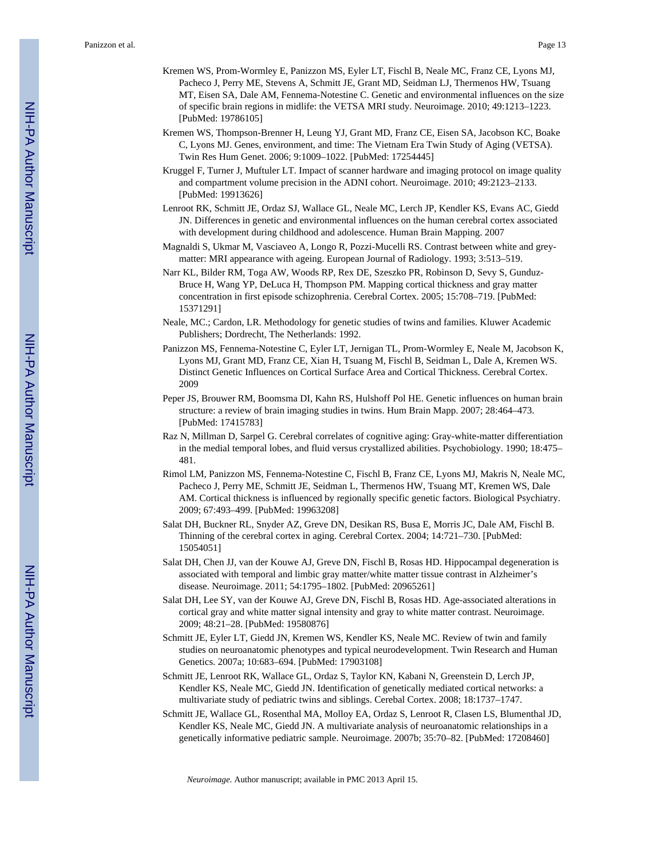- Kremen WS, Prom-Wormley E, Panizzon MS, Eyler LT, Fischl B, Neale MC, Franz CE, Lyons MJ, Pacheco J, Perry ME, Stevens A, Schmitt JE, Grant MD, Seidman LJ, Thermenos HW, Tsuang MT, Eisen SA, Dale AM, Fennema-Notestine C. Genetic and environmental influences on the size of specific brain regions in midlife: the VETSA MRI study. Neuroimage. 2010; 49:1213–1223. [PubMed: 19786105]
- Kremen WS, Thompson-Brenner H, Leung YJ, Grant MD, Franz CE, Eisen SA, Jacobson KC, Boake C, Lyons MJ. Genes, environment, and time: The Vietnam Era Twin Study of Aging (VETSA). Twin Res Hum Genet. 2006; 9:1009–1022. [PubMed: 17254445]
- Kruggel F, Turner J, Muftuler LT. Impact of scanner hardware and imaging protocol on image quality and compartment volume precision in the ADNI cohort. Neuroimage. 2010; 49:2123–2133. [PubMed: 19913626]
- Lenroot RK, Schmitt JE, Ordaz SJ, Wallace GL, Neale MC, Lerch JP, Kendler KS, Evans AC, Giedd JN. Differences in genetic and environmental influences on the human cerebral cortex associated with development during childhood and adolescence. Human Brain Mapping. 2007
- Magnaldi S, Ukmar M, Vasciaveo A, Longo R, Pozzi-Mucelli RS. Contrast between white and greymatter: MRI appearance with ageing. European Journal of Radiology. 1993; 3:513–519.
- Narr KL, Bilder RM, Toga AW, Woods RP, Rex DE, Szeszko PR, Robinson D, Sevy S, Gunduz-Bruce H, Wang YP, DeLuca H, Thompson PM. Mapping cortical thickness and gray matter concentration in first episode schizophrenia. Cerebral Cortex. 2005; 15:708–719. [PubMed: 15371291]
- Neale, MC.; Cardon, LR. Methodology for genetic studies of twins and families. Kluwer Academic Publishers; Dordrecht, The Netherlands: 1992.
- Panizzon MS, Fennema-Notestine C, Eyler LT, Jernigan TL, Prom-Wormley E, Neale M, Jacobson K, Lyons MJ, Grant MD, Franz CE, Xian H, Tsuang M, Fischl B, Seidman L, Dale A, Kremen WS. Distinct Genetic Influences on Cortical Surface Area and Cortical Thickness. Cerebral Cortex. 2009
- Peper JS, Brouwer RM, Boomsma DI, Kahn RS, Hulshoff Pol HE. Genetic influences on human brain structure: a review of brain imaging studies in twins. Hum Brain Mapp. 2007; 28:464–473. [PubMed: 17415783]
- Raz N, Millman D, Sarpel G. Cerebral correlates of cognitive aging: Gray-white-matter differentiation in the medial temporal lobes, and fluid versus crystallized abilities. Psychobiology. 1990; 18:475– 481.
- Rimol LM, Panizzon MS, Fennema-Notestine C, Fischl B, Franz CE, Lyons MJ, Makris N, Neale MC, Pacheco J, Perry ME, Schmitt JE, Seidman L, Thermenos HW, Tsuang MT, Kremen WS, Dale AM. Cortical thickness is influenced by regionally specific genetic factors. Biological Psychiatry. 2009; 67:493–499. [PubMed: 19963208]
- Salat DH, Buckner RL, Snyder AZ, Greve DN, Desikan RS, Busa E, Morris JC, Dale AM, Fischl B. Thinning of the cerebral cortex in aging. Cerebral Cortex. 2004; 14:721–730. [PubMed: 15054051]
- Salat DH, Chen JJ, van der Kouwe AJ, Greve DN, Fischl B, Rosas HD. Hippocampal degeneration is associated with temporal and limbic gray matter/white matter tissue contrast in Alzheimer's disease. Neuroimage. 2011; 54:1795–1802. [PubMed: 20965261]
- Salat DH, Lee SY, van der Kouwe AJ, Greve DN, Fischl B, Rosas HD. Age-associated alterations in cortical gray and white matter signal intensity and gray to white matter contrast. Neuroimage. 2009; 48:21–28. [PubMed: 19580876]
- Schmitt JE, Eyler LT, Giedd JN, Kremen WS, Kendler KS, Neale MC. Review of twin and family studies on neuroanatomic phenotypes and typical neurodevelopment. Twin Research and Human Genetics. 2007a; 10:683–694. [PubMed: 17903108]
- Schmitt JE, Lenroot RK, Wallace GL, Ordaz S, Taylor KN, Kabani N, Greenstein D, Lerch JP, Kendler KS, Neale MC, Giedd JN. Identification of genetically mediated cortical networks: a multivariate study of pediatric twins and siblings. Cerebal Cortex. 2008; 18:1737–1747.
- Schmitt JE, Wallace GL, Rosenthal MA, Molloy EA, Ordaz S, Lenroot R, Clasen LS, Blumenthal JD, Kendler KS, Neale MC, Giedd JN. A multivariate analysis of neuroanatomic relationships in a genetically informative pediatric sample. Neuroimage. 2007b; 35:70–82. [PubMed: 17208460]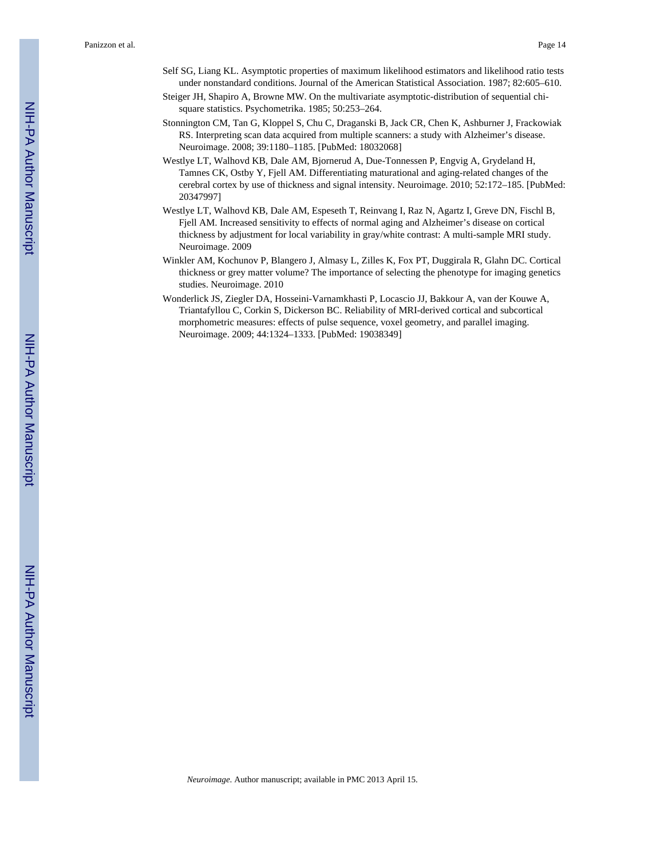Panizzon et al. Page 14

- Self SG, Liang KL. Asymptotic properties of maximum likelihood estimators and likelihood ratio tests under nonstandard conditions. Journal of the American Statistical Association. 1987; 82:605–610.
- Steiger JH, Shapiro A, Browne MW. On the multivariate asymptotic-distribution of sequential chisquare statistics. Psychometrika. 1985; 50:253–264.
- Stonnington CM, Tan G, Kloppel S, Chu C, Draganski B, Jack CR, Chen K, Ashburner J, Frackowiak RS. Interpreting scan data acquired from multiple scanners: a study with Alzheimer's disease. Neuroimage. 2008; 39:1180–1185. [PubMed: 18032068]
- Westlye LT, Walhovd KB, Dale AM, Bjornerud A, Due-Tonnessen P, Engvig A, Grydeland H, Tamnes CK, Ostby Y, Fjell AM. Differentiating maturational and aging-related changes of the cerebral cortex by use of thickness and signal intensity. Neuroimage. 2010; 52:172–185. [PubMed: 20347997]
- Westlye LT, Walhovd KB, Dale AM, Espeseth T, Reinvang I, Raz N, Agartz I, Greve DN, Fischl B, Fjell AM. Increased sensitivity to effects of normal aging and Alzheimer's disease on cortical thickness by adjustment for local variability in gray/white contrast: A multi-sample MRI study. Neuroimage. 2009
- Winkler AM, Kochunov P, Blangero J, Almasy L, Zilles K, Fox PT, Duggirala R, Glahn DC. Cortical thickness or grey matter volume? The importance of selecting the phenotype for imaging genetics studies. Neuroimage. 2010
- Wonderlick JS, Ziegler DA, Hosseini-Varnamkhasti P, Locascio JJ, Bakkour A, van der Kouwe A, Triantafyllou C, Corkin S, Dickerson BC. Reliability of MRI-derived cortical and subcortical morphometric measures: effects of pulse sequence, voxel geometry, and parallel imaging. Neuroimage. 2009; 44:1324–1333. [PubMed: 19038349]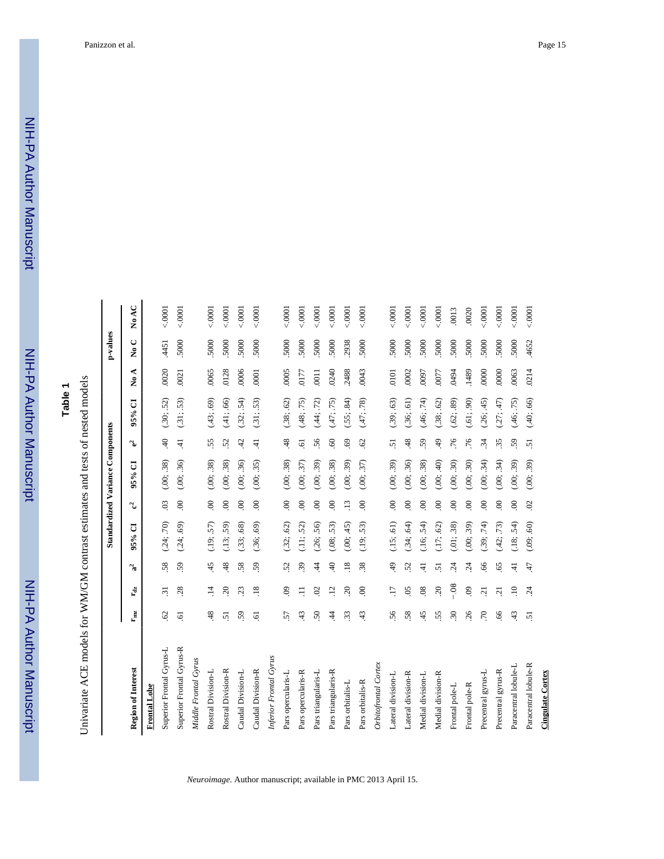# **Table 1**

Univariate ACE models for WM/GM contrast estimates and tests of nested models Univariate ACE models for WM/GM contrast estimates and tests of nested models

|                          |                           |                       |                 |            |                | <b>Standardized Variance Components</b> |                |            |             | p-values                  |         |
|--------------------------|---------------------------|-----------------------|-----------------|------------|----------------|-----------------------------------------|----------------|------------|-------------|---------------------------|---------|
| Region of Interest       | $\mathbf{r}_{\text{max}}$ | r <sub>dz</sub>       | ್ಡ              | J<br>95%   | ್ತ             | đ<br>95%                                | ್ತ             | J<br>95%   | ⋖<br>ż      | ں<br>$\tilde{\mathbf{z}}$ | No AC   |
| <b>Frontal Lobe</b>      |                           |                       |                 |            |                |                                         |                |            |             |                           |         |
| Superior Frontal Gyrus-L | $\mathcal{O}$             | $\overline{31}$       | 58              | (.24; .70) | $\mathfrak{S}$ | (.00; .38)                              | $\ddot{=}$     | (.30; .52) | .0020       | .4451                     | 0001    |
| Superior Frontal Gyrus-R | ত                         | 28                    | 59              | (.24; .69) | $\mathcal{S}$  | (.00; .36)                              | 4              | (.31; .53) | .0021       | .5000                     | < .0001 |
| Middle Frontal Gyrus     |                           |                       |                 |            |                |                                         |                |            |             |                           |         |
| Rostral Division-L       | 48                        | F,                    | 45              | (.19; .57) | $\overline{0}$ | (.00; .38)                              | 55             | (.43; .69) | .0065       | .5000                     | < .0001 |
| Rostral Division-R       | 51                        | $\mathcal{L}$         | 48              | (.13; .59) | $\infty$       | (.00; .38)                              | 52             | (.41; .66) | .0128       | .5000                     | 0001    |
| Caudal Division-L        | 59                        | 23                    | 58.             | (.33; .68) | $\overline{0}$ | (.00; .36)                              | 42             | (.32; .54) | .0006       | .5000                     | 0001    |
| Caudal Division-R        | $\overline{6}$            | $\overline{.18}$      | 59              | (.36; .69) | $\odot$        | (.00; .35)                              | $\pm$          | (.31; .53) | 0001        | .5000                     | < 0001  |
| Inferior Frontal Gyrus   |                           |                       |                 |            |                |                                         |                |            |             |                           |         |
| Pars opercularis-L       | 57                        | $\mathbf{e}$          | 52              | (.32; .62) | $\overline{0}$ | (.00; .38)                              | 48             | (.38; .62) | .0005       | .5000                     | < .0001 |
| Pars opercularis-R       | 43                        | Ξ                     | 39              | (.11; .52) | $\overline{6}$ | (.00; .37)                              | ë              | (.48; .75) | <b>CLIO</b> | .5000                     | < 0001  |
| Pars triangularis-L      | 50                        | $\mathcal{S}$         | $\dot{4}$       | (.26; .56) | $\infty$       | (.00; .39)                              | 56             | (.44; .72) | .0011       | 5000                      | 0001    |
| Pars triangularis-R      | $\dot{4}$                 | $\overline{12}$       | $\ddot{=}$      | (.08; .53) | $\epsilon$     | (.00; .38)                              | $\odot$        | (.47; .75) | .0240       | 5000                      | 0001    |
| Pars orbitalis-L         | 33                        | $\overline{c}$        | $\overline{18}$ | (.00; .45) | $\ddot{13}$    | (65)<br>(00;                            | $69$           | (.55; .84) | 2488        | 2938                      | 0001    |
| Pars orbitalis-R         | 43                        | $\infty$              | 38.             | (.19; .53) | $\mathcal{S}$  | (.00; .37)                              | $\mathcal{O}$  | (.47; .78) | .0043       | .5000                     | < 0001  |
| Orbitofrontal Cortex     |                           |                       |                 |            |                |                                         |                |            |             |                           |         |
| Lateral division-L       | 56                        | LI.                   | 49              | (.15; .61) | $\mathbf{8}$   | (.00; .39)                              | 51             | (.39; .63) | .0101       | 5000                      | 0001    |
| Lateral division-R       | 58                        | $\overline{0}$        | 25              | (.34; .64) | $\mathbf{S}$   | (.00; .36)                              | 48             | (.36; .61) | .0002       | 5000                      | 0001    |
| Medial division-L        | 45                        | $\overline{08}$       | $\vec{r}$       | (.16; .54) | $\infty$       | (.00; .38)                              | 59             | (.46; .74) | <b>L600</b> | 5000                      | 0001    |
| Medial division-R        | 55                        | $\tilde{\mathcal{L}}$ | 5               | (.17; .62) | $\infty$       | (.00; .40)                              | 49             | (.38; .62) | .0077       | 5000                      | 0001    |
| Frontal pole-L           | 30                        | 08                    | $\ddot{c}$      | (.01; .38) | $\infty$       | (.00; .30)                              | .76            | (.62; .89) | 1610        | 5000                      | .0013   |
| Frontal pole-R           | 26                        | $\odot$               | $\ddot{c}$      | (.00; .39) | $\infty$       | $\ddot{.}30$<br>(0.00)                  | .76            | (.61; .90) | .1489       | 5000                      | .0020   |
| Precentral gyrus-L       | $\overline{70}$           | $\ddot{c}$            | 66              | (.39; .74) | $\mathbf{8}$   | (.00; .34)                              | $\ddot{34}$    | (.26; .45) | .0000       | 5000                      | 0001    |
| Precentral gyrus-R       | 66                        | ភ្ន                   | 65              | (.42; .73) | $\epsilon$     | (.00; .34)                              | 35             | (27; 47)   | .0000       | 5000                      | 0001    |
| Paracentral lobule-L     | 43                        | $\ddot{=}$            | $\overline{4}$  | (.18; .54) | $\infty$       | (.00; .39)                              | 59             | (.46; .75) | .0063       | 5000                      | 0001    |
| Paracentral lobule-R     | $\overline{5}$            | $\ddot{c}$            | 47              | (.09; .60) | $\mathcal{O}$  | (.00; .39)                              | $\overline{5}$ | (.40; .66) | .0214       | .4652                     | < 0001  |
| <b>Cingulate Cortex</b>  |                           |                       |                 |            |                |                                         |                |            |             |                           |         |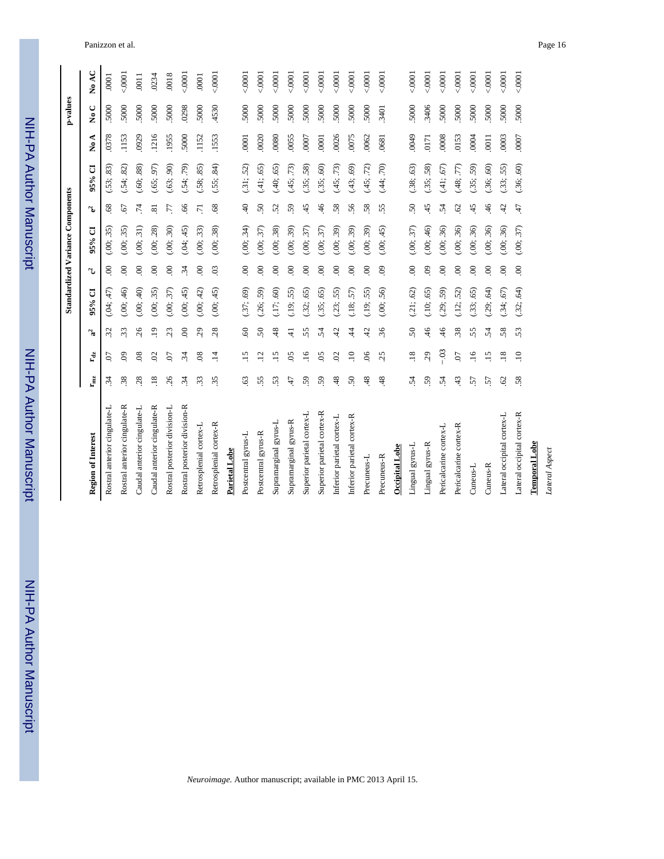| $\frac{1}{2}$ |
|---------------|
|               |
|               |
|               |
|               |
|               |
|               |
|               |
|               |
| i             |
|               |
|               |
|               |
|               |
|               |
|               |
|               |
|               |
|               |
|               |
|               |
|               |
|               |
|               |
|               |

|                          | p-values                                |  |
|--------------------------|-----------------------------------------|--|
| NIH-PA Author Manuscript | <b>Standardized Variance Components</b> |  |

| <b>Region of Interest</b>    | r <sub>mz</sub> | $\mathbf{r_{dz}}$ | $\mathbf{a}^2$ | 95% CI      | ್ತ             | 95% CI     | ್ಮ                      | 95% CI                   | ⋖<br>$\overline{\mathbf{z}}$ | $\overline{N}$ o C | No AC             |
|------------------------------|-----------------|-------------------|----------------|-------------|----------------|------------|-------------------------|--------------------------|------------------------------|--------------------|-------------------|
| Rostral anterior cingulate-L | $\ddot{3}$      | C.                | 32             | (.04; .47)  | $\mathbf{S}$   | (.00; .35) | $68$                    | (.53; .83)               | .0378                        | .5000              | .0001             |
| Rostral anterior cingulate-R | 38              | $\odot$           | 33             | (0.00; .46) | $\mathbf{S}$   | (.00; .35) | 67                      | (.54, .82)               | .1153                        | 5000               | 0001              |
| Caudal anterior cingulate-L  | 28              | $\overline{08}$   | 26             | (.00; .40)  | $\mathcal{S}$  | (.00; .31) | $\ddot{z}$              | (.60, .88)               | 0929                         | 5000               | $\overline{0011}$ |
| Caudal anterior cingulate-R  | $\overline{18}$ | $\mathcal{O}$     | $\ddot{ }$     | (.00; .35)  | $\infty$       | (.00; .28) | $\overline{\mathbf{s}}$ | (.65, .97)               | .1216                        | 5000               | .0234             |
| Rostral posterior division-L | 26              | 07                | 23             | (.00; .37)  | $\infty$       | (.00, .30) | LL.                     | $\overline{90}$<br>(.63; | 1955                         | 5000               | .0018             |
| Rostral posterior division-R | $\ddot{3}$      | $\ddot{3}$        | $\infty$       | (.00; .45)  | $\ddot{34}$    | (.04; .45) | 66                      | (.54; .79)               | .5000                        | 0298               | 0001              |
| Retrosplenial cortex-L       | 33              | 08                | 29             | (.00; .42)  | $\infty$       | (.00; .33) | $\overline{7}$          | (.58; .85)               | .1152                        | 5000               | .0001             |
| Retrosplenial cortex-R       | 35              | $\ddot{=}$        | 28             | (.00; .45)  | $\overline{0}$ | (.00; .38) | 68                      | (.55; .84)               | .1553                        | .4530              | 0001              |
| Parietal Lobe                |                 |                   |                |             |                |            |                         |                          |                              |                    |                   |
| Postcentral gyrus-L          | 63              | $\ddot{15}$       | 60             | .37; .69    | $\mathbf{S}$   | (.00; .34) | $\ddot{=}$              | (.31; .52)               | .0001                        | 5000               | 0001              |
| Postcentral gyrus-R          | 55              | $\ddot{5}$        | 50             | (.26; .59)  | $\infty$       | (.00; .37) | 50                      | (.41; .65)               | .0020                        | 5000               | 0001              |
| Supramarginal gyrus-L        | 53              | $\ddot{15}$       | 48             | (.17; .60)  | $\mathbf{S}$   | (.00; .38) | 52                      | (.40; .65)               | .0080                        | 5000               | 0001              |
| Supramarginal gyrus-R        | 47              | 05                | $\exists$      | (.19; .55)  | $\infty$       | (.00; .39) | 59                      | (.45; .73)               | .0055                        | 5000               | 0001              |
| Superior parietal cortex-L   | 59              | $\ddot{=}$        | 55             | .32; .65)   | $\infty$       | (.00; .37) | 45                      | (.35; .58)               | .0007                        | 5000               | 0001              |
| Superior parietal cortex-R   | 59              | 05                | 54             | .35; .65)   | $\infty$       | (.00; .37) | $\frac{46}{5}$          | (.35; .60)               | .0001                        | 5000               | 0001              |
| Inferior parietal cortex-L   | 48              | $\mathcal{O}$     | 42             | .23; .55)   | $\infty$       | (.00; .39) | 58                      | (.45; .73)               | .0026                        | 5000               | 0001              |
| Inferior parietal cortex-R   | $50\,$          | $\Xi$             | $\dot{4}$      | (.18; .57)  | $\infty$       | (.00, .39) | 56                      | (.43; .69)               | .0075                        | 5000               | 0001              |
| Precuneus-L                  | 48              | $\infty$          | 42             | (.19; .55)  | $\infty$       | (.00; .39) | 58                      | (.45; .72)               | .0062                        | 5000               | 0001              |
| Precuneus-R                  | 48              | 25                | 36             | (.00; .56)  | $\odot$        | (.00; .45) | 55.                     | (.44; .70)               | .0681                        | .3401              | 0001              |
| <b>Occipital Lobe</b>        |                 |                   |                |             |                |            |                         |                          |                              |                    |                   |
| Lingual gyrus-L              | 54              | $\overline{.18}$  | 50             | (.21; .62)  | $\mathcal{S}$  | (.00; .37) | 50                      | (.38; .63)               | 6700                         | .5000              | 0001              |
| Lingual gyrus-R              | 59              | 29                | 46             | (.10; .65)  | $\overline{6}$ | (.00; .46) | 45                      | (.35; .58)               | 0171                         | .3406              | 0001              |
| Pericalcarine cortex-L       | 54              | $-03$             | 46             | (.29; .59)  | $\infty$       | (.00; .36) | 54                      | (.41; .67)               | .0008                        | 5000               | 0001              |
| Pericalcarine cortex-R       | 43              | <b>CO</b> .       | 38             | (.12; .52)  | $\infty$       | (.00, .36) | $\mathcal{O}$           | (.48; .77)               | .0153                        | 5000               | 0001              |
| Cuneus-L                     | 57              | $\ddot{ }$        | 55             | .33; .65    | $\infty$       | (.00; .36) | 45                      | (.35; .59)               | .0004                        | 5000               | 0001              |
| Cuneus-R                     | 57              | $\ddot{15}$       | 54             | .29; .64)   | $\infty$       | (.00; .36) | 46                      | (.36, .60)               | $\overline{0}$               | 5000               | 0001              |
| Lateral occipital cortex-L   | $\mathcal{O}$   | $\overline{.18}$  | 58             | .34; .67    | $\infty$       | (.00; .36) | 42                      | (.33; .55)               | .0003                        | 5000               | 0001              |
| Lateral occipital cortex-R   | 58              | $\ddot{=}$        | 53             | (.32; .64)  | $\infty$       | (.00; .37) | 47                      | (.36; .60)               | .0007                        | .5000              | 00001             |
| Temporal Lobe                |                 |                   |                |             |                |            |                         |                          |                              |                    |                   |
| Lateral Aspect               |                 |                   |                |             |                |            |                         |                          |                              |                    |                   |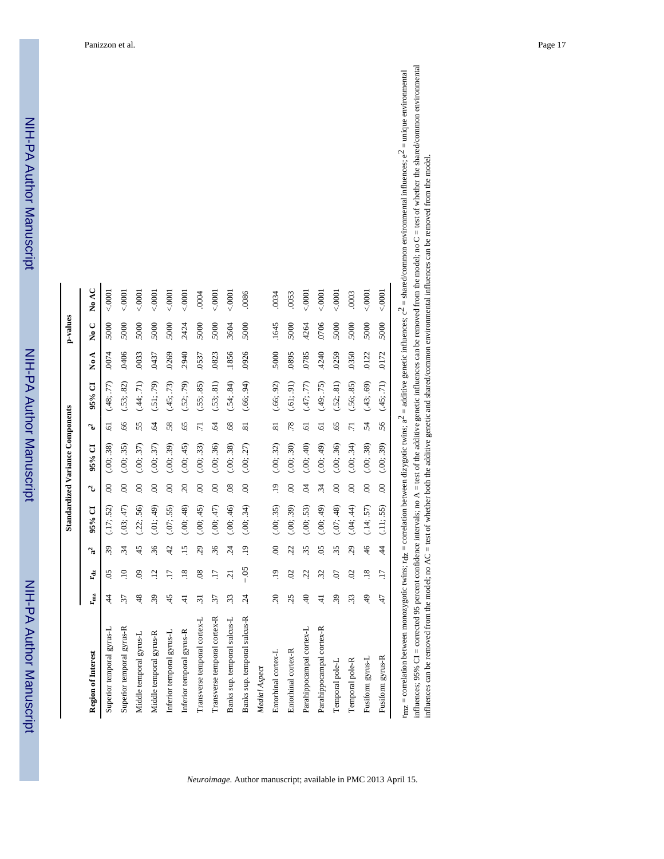|                              |                                     |                   |                |            |                 | <b>Standardized Variance Components</b> |                |            |       | p-values           |         |
|------------------------------|-------------------------------------|-------------------|----------------|------------|-----------------|-----------------------------------------|----------------|------------|-------|--------------------|---------|
|                              |                                     |                   |                |            |                 |                                         |                |            |       |                    |         |
| Region of Interest           | $\mathbf{r}_{\mathbf{m}\mathbf{z}}$ | $\mathbf{r_{dz}}$ | ್ಡ             | 95% CI     | ್ತು             | 95% CI                                  | ್ಮ             | 95% CI     | No A  | $\overline{N}_0$ C | No AC   |
| Superior temporal gyrus-L    | $\overline{4}$                      | $\overline{0}$    | 39             | (17; .52)  | S.              | (.00; .38)                              | 5              | (.48; .77) | .0074 | 5000               | $-0001$ |
| Superior temporal gyrus-R    | 37                                  | $\Xi$             | $\ddot{34}$    | (.03; .47) | $\mathcal{S}$   | (.00; .35)                              | 66             | (.53; .82) | .0406 | 5000               | &0001   |
| Middle temporal gyrus-L      | 48                                  | $\overline{6}$    | 45             | (.22; .56) | $\odot$         | (.00; .37)                              | 55             | (.44; .71) | .0033 | 5000               | &0001   |
| Middle temporal gyrus-R      | 39                                  | $\overline{12}$   | 36             | (.01; .49) | $\mathcal{S}$   | (.00; .37)                              | S.             | (.51; .79) | .0437 | 5000               | 00001   |
| Inferior temporal gyrus-L    | 45                                  | $\overline{17}$   | 42             | (.07; .55) | $\mathcal{S}$   | (.00; .39)                              | 58.            | (.45; .73) | .0269 | 5000               | 0001    |
| Inferior temporal gyrus-R    | ਦ                                   | $\overline{.18}$  | $-15$          | (.00; .48) | $\overline{c}$  | (.00; .45)                              | 65             | (.52; .79) | .2940 | .2424              | 0000    |
| Transverse temporal cortex-L | $\ddot{3}$                          | $\overline{08}$   | 29             | (.00; .45) | $\mathcal{S}$   | (.00; .33)                              | $\overline{z}$ | (.55; .85) | .0537 | 5000               | .0004   |
| Transverse temporal cortex-R | 37                                  | $\overline{17}$   | 36             | (.00; .47) | $\odot$         | (.00; .36)                              | Ŝ.             | (.53; .81) | .0823 | 5000               | 0001    |
| Banks sup. temporal sulcus-L | 33                                  | ្ម                | $\ddot{c}$     | (.00; .46) | $\overline{08}$ | (.00; .38)                              | 89.            | (.54; .84) | .1856 | 3604               | &0001   |
| Banks sup. temporal sulcus-R | $\ddot{c}$                          | $-0.5$            | $\ddot{=}$     | (.00; .34) | $\odot$         | (.00; .27)                              | $\overline{8}$ | (.66; .94) | .0926 | 5000               | .0086   |
| Medial Aspect                |                                     |                   |                |            |                 |                                         |                |            |       |                    |         |
| Entorhinal cortex-L          | 20                                  | $\overline{19}$   | $\overline{0}$ | (.00; .35) | $\overline{.}$  | (.00; .32)                              | $\overline{8}$ | (.66; .92) | .5000 | .1645              | .0034   |
| Entorhinal cortex-R          | 25                                  | $\mathcal{O}$     | 22             | (.00; .39) | $\mathcal{S}$   | (.00; .30)                              | .78            | (.61; .91) | .0895 | 5000               | .0053   |
| Parahippocampal cortex-L     | $\overline{4}$                      | 22.               | 35             | (.00; .53) | S.              | (.00; .40)                              | 5              | (.47; .77) | .0785 | .4264              | < 0001  |
| Parahippocampal cortex-R     | न्                                  | 32                | $\overline{0}$ | (.00; .49) | $\ddot{34}$     | (.00; .49)                              | <b>r</b>       | (.49; .75) | .4240 | .0706              | 0000    |
| Temporal pole-L              | 39                                  | 07                | 35             | (.07; .48) | $\odot$         | (.00; .36)                              | 65             | (.52; .81) | .0259 | 5000               | 0000    |
| Temporal pole-R              | 33                                  | $\mathcal{O}$     | 29             | (.04; .44) | $\mathbf{S}$    | (.00; .34)                              | $\overline{z}$ | (.56, .85) | .0350 | 5000               | .0003   |
| Fusiform gyrus-L             | $\ddot{ }$                          | .18               | 46             | (.14; .57) | $\odot$         | (.00; .38)                              | -54            | (.43; .69) | .0122 | .5000              | < 0001  |
| Fusiform gyrus-R             | 47                                  | $\overline{17}$   | $\dot{4}$      | (11; .55)  | $\mathcal{S}$   | (.00; .39)                              | 56             | (.45; .71) | .0172 | .5000              | < 0001  |

*Neuroimage*. Author manuscript; available in PMC 2013 April 15.

| ¢                              | i<br>S                                                                                  |                                     |
|--------------------------------|-----------------------------------------------------------------------------------------|-------------------------------------|
|                                |                                                                                         |                                     |
|                                |                                                                                         |                                     |
| $e-$ = $\mu$                   |                                                                                         | į<br>d<br>्ं                        |
| j                              |                                                                                         | i                                   |
|                                |                                                                                         | removed from t                      |
|                                |                                                                                         |                                     |
|                                |                                                                                         |                                     |
|                                |                                                                                         | nanca                               |
| $\mathbf{c} = \mathbf{sn}$     | in influences can be removed from the model; no $C = \text{test of whether the share'}$ |                                     |
| <u>וממו</u> ו<br>م<br>ت        |                                                                                         |                                     |
|                                |                                                                                         |                                     |
|                                |                                                                                         |                                     |
| ミミミド                           | $\alpha$ represents: no A = test of the additive genet.                                 |                                     |
| tween dizvoonc twins.          |                                                                                         |                                     |
|                                |                                                                                         | יים חרוי                            |
| $\frac{1}{2}$                  |                                                                                         |                                     |
| $=$ correlation                |                                                                                         | $\therefore$ = test of whether both |
|                                | $\ddot{\phantom{a}}$                                                                    |                                     |
|                                | CON CO<br>,,,,,,,,,,                                                                    |                                     |
| <b>Contract Contract</b>       |                                                                                         |                                     |
|                                | $6 \text{ CI} =$ corrected 9<br>١                                                       | ramorad trom the model. n           |
|                                |                                                                                         |                                     |
| $\cdots$ = correlation between | <b>Bunda</b>                                                                            |                                     |
|                                | <b>.</b>                                                                                |                                     |

Panizzon et al. Page 17

NIH-PA Author Manuscript

NIH-PA Author Manuscript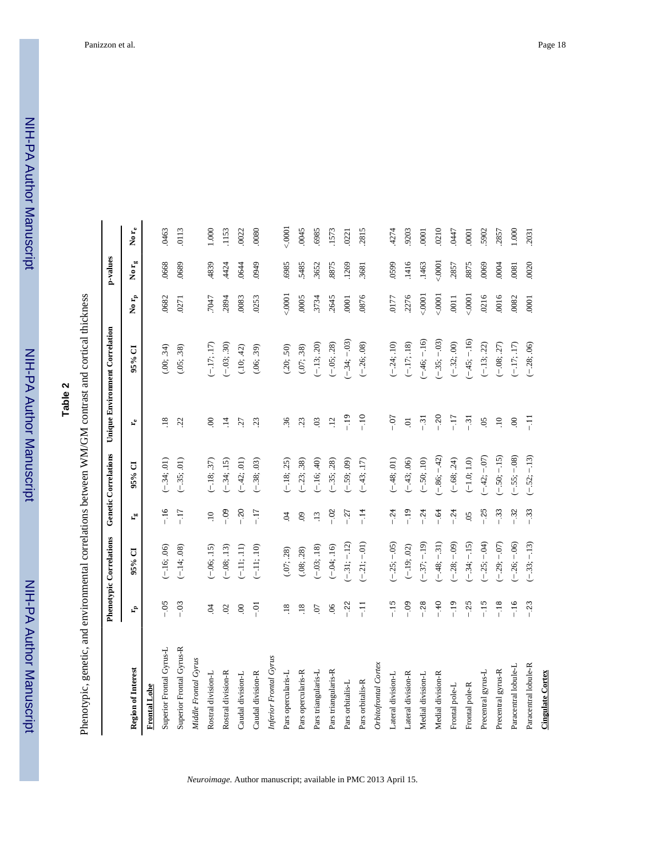# **Table 2**

Phenotypic, genetic, and environmental correlations between WM/GM contrast and cortical thickness Phenotypic, genetic, and environmental correlations between WM/GM contrast and cortical thickness

|                           |                  | Phenotypic Correlations |                       | <b>Genetic Correlations</b> |                      | Unique Environment Correlation |                     | p-values                |                         |
|---------------------------|------------------|-------------------------|-----------------------|-----------------------------|----------------------|--------------------------------|---------------------|-------------------------|-------------------------|
| <b>Region of Interest</b> | ۴,               | 95% CI                  | $\mathbf{r}_{\rm sc}$ | 95% CI                      | $\mathbf{r}_{\rm e}$ | 95% CI                         | No $\mathbf{r_{p}}$ | No $\mathbf{r}_{\rm g}$ | No $\mathbf{r}_{\rm e}$ |
| <b>Frontal</b> Lobe       |                  |                         |                       |                             |                      |                                |                     |                         |                         |
| Superior Frontal Gyrus-L  | $-0.5$           | $-16; 06$               | $-16$                 | $(-34; .01)$                | $\overline{.18}$     | (.00; .34)                     | .0682               | .0668                   | .0463                   |
| Superior Frontal Gyrus-R  | $-03$            | $(-.14; .08)$           | $-17$                 | $(-35; .01)$                | 22                   | (.05; .38)                     | .0271               | .0689                   | .0113                   |
| Middle Frontal Gyrus      |                  |                         |                       |                             |                      |                                |                     |                         |                         |
| Rostral division-L        | S.               | $(-.06; .15)$           | $\Xi$                 | $(-18; .37)$                | $\mathbf{S}$         | $(-17;17)$                     | 7047                | 4839                    | 000.1                   |
| Rostral division-R        | $\mathfrak{S}$   | $(-.08, .13)$           | $-0.9$                | $(-34; 15)$                 | $\overline{4}$       | $(-.03; .30)$                  | 2894                | 4424                    | 1153                    |
| Caudal division-L         | $\infty$         | $(-11; 11)$             | $-20$                 | $(-42; .01)$                | 27                   | (.10; .42)                     | 0083                | .0644                   | 0022                    |
| Caudal division-R         | $-5$             | $(-.11; .10)$           | $-17$                 | $(-.38; .03)$               | 23                   | (.06; .39)                     | .0253               | 6760                    | 0080                    |
| Inferior Frontal Gyrus    |                  |                         |                       |                             |                      |                                |                     |                         |                         |
| Pars opercularis-L        | $\frac{8}{18}$   | (.07; .28)              | S.                    | $(-18; .25)$                | 36                   | (.20; .50)                     | 0001                | .6985                   | 0001                    |
| Pars opercularis-R        | $\overline{.18}$ | (.08; .28)              | $\odot$               | $(-23; .38)$                | 23                   | (.07; .38)                     | .0005               | 5485                    | .0045                   |
| Pars triangularis-L       | 07               | $(-.03, .18)$           | $\overline{13}$       | $(-.16; .40)$               | $\overline{0}$       | $(-.13; .20)$                  | 3734                | .3652                   | 6985                    |
| Pars triangularis-R       | 06               | $(-.04; .16)$           | $-0.2$                | $(-35; .28)$                | $\ddot{5}$           | $(-.05, .28)$                  | 2645                | 8875                    | 1573                    |
| Pars orbitalis-L          | $-22$            | $(-31; -12)$            | $-27$                 | $(-.59; .09)$               | $-19$                | $(-.34; -.03)$                 | .0001               | .1269                   | 0221                    |
| Pars orbitalis-R          | $-11$            | $(-.21; -.01)$          | $-14$                 | $(-43; 17)$                 | $-10$                | $(-.26, .08)$                  | 0876                | 3681                    | 2815                    |
| Orbitofrontal Cortex      |                  |                         |                       |                             |                      |                                |                     |                         |                         |
| Lateral division-L        | $-15$            | $(-.25; -.05)$          | $-24$                 | $(-48; .01)$                | $-0.7$               | $(-.24; .10)$                  | 0177                | 0599                    | 4274                    |
| Lateral division-R        | $-0.9$           | $(-.19; .02)$           | $-19$                 | $(-43; .06)$                | $\overline{a}$       | $(-.17; .18)$                  | .2276               | .1416                   | 9203                    |
| Medial division-L         | $-0.28$          | $(-.37:-.19)$           | $-24$                 | $(-.50, .10)$               | $-31$                | $(-46, -16)$                   | 00001               | .1463                   | 0001                    |
| Medial division-R         | $-40$            | $-48; -31$              | $-64$                 | $(-.86; -.42)$              | $-20$                | $(-.35; -03)$                  | 00001               | 0001                    | 0210                    |
| Frontal pole-L            | $-19$            | $-0.28; -0.09$          | $-24$                 | $(-.68, .24)$               | $-17$                | $(-32; 00)$                    | .0011               | 2857                    | 0447                    |
| Frontal pole-R            | $-25$            | $-.34; -15$             | $\overline{0}$        | $(-1.0; 1.0)$               | $-31$                | $(-45; -16)$                   | 50001               | .8875                   | 0001                    |
| Precentral gyrus-L        | $-15$            | $-.25; -04)$            | $-25$                 | $(-42; -07)$                | $\overline{0}$       | $(-.13; .22)$                  | 0216                | 0069                    | 5902                    |
| Precentral gyrus-R        | $-18$            | $-0.29; -0.07$          | $-33$                 | $-50; -15$                  | $\Xi$                | $(-.08, .27)$                  | .0016               | 0004                    | 2857                    |
| Paracentral lobule-L      | $-16$            | $-.26; -.06$            | $-32$                 | $(-.55; -08)$               | $\mathcal{S}$        | $(-.17; .17)$                  | .0082               | .0081                   | 000                     |
| Paracentral lobule-R      | $-23$            | $(-.33; -.13)$          | $-33$                 | $(-.52; -13)$               | $-11$                | $(-.28; .06)$                  | .0001               | .0020                   | 2031                    |
| <b>Cingulate Cortex</b>   |                  |                         |                       |                             |                      |                                |                     |                         |                         |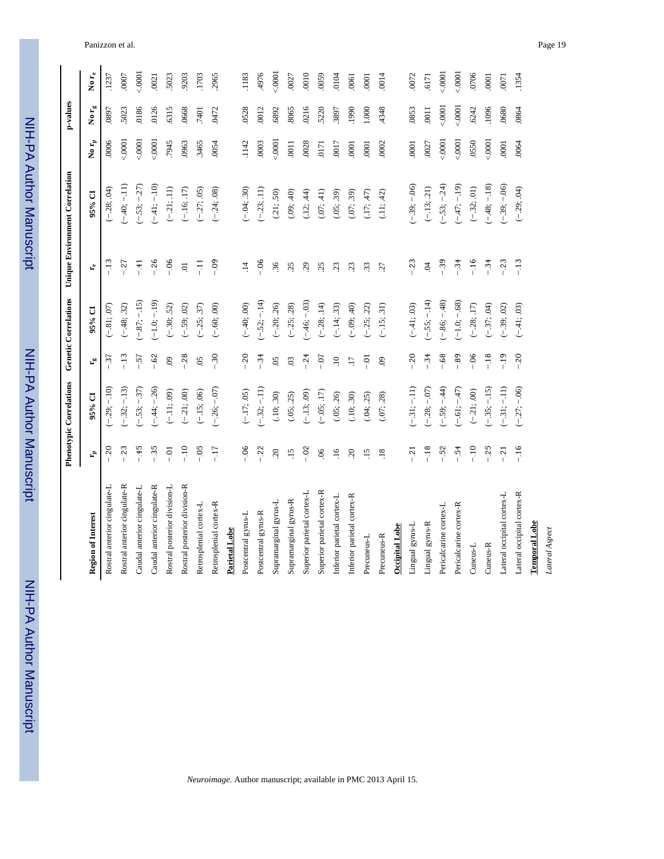| ؟<br>? |
|--------|
|        |
|        |
|        |
|        |
|        |
|        |
|        |
|        |
| :<br>: |
|        |
|        |
|        |
|        |
|        |

| Ē             |  |
|---------------|--|
|               |  |
| $\frac{1}{2}$ |  |
|               |  |
| ٦             |  |
|               |  |
|               |  |
| וווחפמווו     |  |
|               |  |
|               |  |
|               |  |
|               |  |

|                              |                  | Phenotypic Correlations |                           | Genetic Correlations |                      | Unique Environment Correlation |                     | p-values                   |          |
|------------------------------|------------------|-------------------------|---------------------------|----------------------|----------------------|--------------------------------|---------------------|----------------------------|----------|
| <b>Region of Interest</b>    | ۴,               | 95% CI                  | $\mathbf{r}_{\mathrm{m}}$ | 95% CI               | $\mathbf{r}_{\rm e}$ | 95% CI                         | No $\mathbf{r_{p}}$ | No $\mathbf{r}_\mathrm{g}$ | No $r_e$ |
| Rostral anterior cingulate-L | $-20$            | $(-.29; -10)$           | $-37$                     | $(-.81; .07)$        | $-13$                | $(-28; 04)$                    | .0006               | .0897                      | .1237    |
| Rostral anterior cingulate-R | $-23$            | $(-.32; -13)$           | $-13$                     | $(-.48; .32)$        | $-27$                | $(-.40; -.11)$                 | $-0001$             | 5023                       | .0007    |
| Caudal anterior cingulate-L  | $-45$            | $-53; -37$              | $-57$                     | $(-.87:-.15)$        | $-41$                | $(-.53; -.27)$                 | 0000                | 0186                       | 0001     |
| Caudal anterior cingulate-R  | $-35$            | $(-44; -26)$            | $-0.62$                   | $(-1.0; -1.9)$       | $-26$                | $(-41;-10)$                    | 0001                | 0126                       | .0021    |
| Rostral posterior division-L | $-0.1$           | $(-.11; .09)$           | $\ddot{\mathrm{e}}$       | $(-.30, .52)$        | $-0.06$              | $(-21; .11)$                   | 7945                | 6315                       | 5023     |
| Rostral posterior division-R | $-10$            | $(-.21; .00)$           | $-0.28$                   | $(-.59, .02)$        | $\Xi$                | $(-.16; .17)$                  | .0963               | 0668                       | 9203     |
| Retrosplenial cortex-L       | $-0.5$           | $(-.15; .06)$           | 05                        | $(-.25, .37)$        | $\overline{z}$       | $(-27; .05)$                   | 3465                | 7401                       | .1703    |
| Retrosplenial cortex-R       | $-17$            | $(-.26, -07)$           | $-30$                     | $(-.60, .00)$        | $-0.9$               | $(-.24, .08)$                  | .0054               | .0472                      | 2965     |
| Parietal Lobe                |                  |                         |                           |                      |                      |                                |                     |                            |          |
| Postcentral gyrus-L          | $-0.6$           | $(-17; .05)$            | $-20$                     | $(-.40; .00)$        | $\ddot{1}$           | $(-.04, .30)$                  | .1142               | 0528                       | .1183    |
| Postcentral gyrus-R          | $-22$            | $(-32; -11)$            | $-34$                     | $(-.52; -.14)$       | $-0.0$               | $(-.23; .11)$                  | .0003               | .0012                      | 4976     |
| Supramarginal gyrus-L        | $20$             | (.10; .30)              | 05                        | $(-.20, .26)$        | 36                   | (.21; .50)                     | 00001               | 6892                       | $-0001$  |
| Supramarginal gyrus-R        | $\overline{.15}$ | (.05; .25)              | $\overline{0}$            | $(-.25; .28)$        | 25                   | (.09; .40)                     | .0011               | 8065                       | .0027    |
| Superior parietal cortex-L   | $-02$            | $(-.13; .09)$           | $-.24$                    | $(-.46, -.03)$       | 29                   | (.12; .44)                     | .0028               | 0216                       | .0010    |
| Superior parietal cortex-R   | $\infty$         | $(-.05; .17)$           | $-0.7$                    | $(-.28, .14)$        | 25                   | (.07; .41)                     | 0171                | 5220                       | 0059     |
| Inferior parietal cortex-L   | $\ddot{=}$       | (.05; .26)              | $\ddot{ }$                | $(-.14; .33)$        | 23                   | (.05; .39)                     | 0017                | 3897                       | 0104     |
| Inferior parietal cortex-R   | $\overline{c}$   | (.10; .30)              | LI.                       | $(-.09, .40)$        | 23                   | (.07; .39)                     | .0001               | 1990                       | 0061     |
| Precuneus-L                  | $\overline{15}$  | (.04; .25)              | $-0.1$                    | $(-25, 22)$          | 33                   | (.17; .47)                     | 0001                | 000.1                      | 0001     |
| Precuneus-R                  | $\overline{.18}$ | (.07; .28)              | $\mathbf{e}$              | $(-.15; .31)$        | .27                  | (.11; .42)                     | .0002               | 4348                       | 0014     |
| <b>Occipital Lobe</b>        |                  |                         |                           |                      |                      |                                |                     |                            |          |
| Lingual gyrus-L              | $-21$            | $-31; -11)$             | $-20$                     | $(-.41; .03)$        | $-23$                | $-.39; -.06$                   | .0001               | .0853                      | .0072    |
| Lingual gyrus-R              | $-18$            | $(-.28; -.07)$          | $-34$                     | $(-.55; -.14)$       | $\ddot{q}$           | $(-.13; .21)$                  | .0027               | .0011                      | 6171     |
| Pericalcarine cortex-L       | $-52$            | $-0.59; -0.44$          | $-0.68$                   | $(-.86,-.48)$        | $-39$                | $(-.53; -.24)$                 | 0001                | 0001                       | 0001     |
| Pericalcarine cortex-R       | $-0.54$          | $-61; -47$              | $-0.89$                   | $(-1.0; -.68)$       | $-34$                | $(-47;-19)$                    | 00001               | 0001                       | 0001     |
| Cuneus-L                     | $-10$            | $(-21; .00)$            | $-0.06$                   | $(-.28; .17)$        | $-.16$               | $(-32; 01)$                    | .0550               | .6242                      | .0706    |
| Cuneus-R                     | $-25$            | $-35; -15$              | $-.18$                    | $(-37; .04)$         | $-34$                | $(-.48; -.18)$                 | 0001                | 1096                       | 0001     |
| Lateral occipital cortex-L   | $-21$            | $(-31; -11)$            | $-19$                     | $(-.39, .02)$        | $-23$                | $(-.39; -.06)$                 | .0001               | 0680                       | .0071    |
| Lateral occipital cortex-R   | $-16$            | $(-.27; -.06)$          | $-20$                     | $(-.41; .03)$        | $-13$                | $(-.29; .04)$                  | .0064               | .0864                      | .1354    |
| <b>Temporal Lobe</b>         |                  |                         |                           |                      |                      |                                |                     |                            |          |
| Lateral Aspect               |                  |                         |                           |                      |                      |                                |                     |                            |          |

*Neuroimage*. Author manuscript; available in PMC 2013 April 15.

 $\overline{a}$